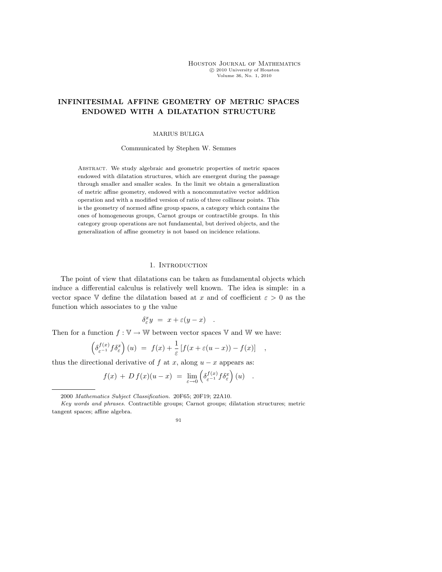Houston Journal of Mathematics c 2010 University of Houston Volume 36, No. 1, 2010

# INFINITESIMAL AFFINE GEOMETRY OF METRIC SPACES ENDOWED WITH A DILATATION STRUCTURE

# MARIUS BULIGA

Communicated by Stephen W. Semmes

Abstract. We study algebraic and geometric properties of metric spaces endowed with dilatation structures, which are emergent during the passage through smaller and smaller scales. In the limit we obtain a generalization of metric affine geometry, endowed with a noncommutative vector addition operation and with a modified version of ratio of three collinear points. This is the geometry of normed affine group spaces, a category which contains the ones of homogeneous groups, Carnot groups or contractible groups. In this category group operations are not fundamental, but derived objects, and the generalization of affine geometry is not based on incidence relations.

### 1. INTRODUCTION

The point of view that dilatations can be taken as fundamental objects which induce a differential calculus is relatively well known. The idea is simple: in a vector space V define the dilatation based at x and of coefficient  $\varepsilon > 0$  as the function which associates to  $y$  the value

$$
\delta^x_\varepsilon y\ =\ x+\varepsilon(y-x)\quad.
$$

Then for a function  $f : \mathbb{V} \to \mathbb{W}$  between vector spaces V and W we have:

$$
\left(\delta_{\varepsilon^{-1}}^{f(x)} f \delta_{\varepsilon}^{x}\right)(u) = f(x) + \frac{1}{\varepsilon} \left[f(x + \varepsilon(u-x)) - f(x)\right] ,
$$

thus the directional derivative of f at x, along  $u - x$  appears as:

$$
f(x) + D f(x)(u - x) = \lim_{\varepsilon \to 0} \left( \delta_{\varepsilon^{-1}}^{f(x)} f \delta_{\varepsilon}^{x} \right)(u) .
$$

<sup>2000</sup> Mathematics Subject Classification. 20F65; 20F19; 22A10.

Key words and phrases. Contractible groups; Carnot groups; dilatation structures; metric tangent spaces; affine algebra.

<sup>91</sup>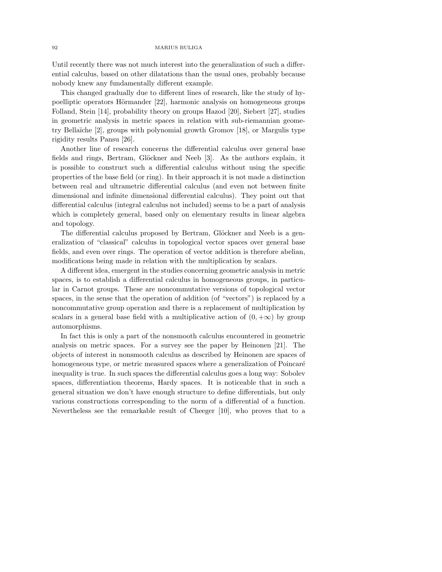Until recently there was not much interest into the generalization of such a differential calculus, based on other dilatations than the usual ones, probably because nobody knew any fundamentally different example.

This changed gradually due to different lines of research, like the study of hypoelliptic operators Hörmander [22], harmonic analysis on homogeneous groups Folland, Stein [14], probability theory on groups Hazod [20], Siebert [27], studies in geometric analysis in metric spaces in relation with sub-riemannian geometry Bellaïche [2], groups with polynomial growth Gromov [18], or Margulis type rigidity results Pansu [26].

Another line of research concerns the differential calculus over general base fields and rings, Bertram, Glöckner and Neeb [3]. As the authors explain, it is possible to construct such a differential calculus without using the specific properties of the base field (or ring). In their approach it is not made a distinction between real and ultrametric differential calculus (and even not between finite dimensional and infinite dimensional differential calculus). They point out that differential calculus (integral calculus not included) seems to be a part of analysis which is completely general, based only on elementary results in linear algebra and topology.

The differential calculus proposed by Bertram, Glöckner and Neeb is a generalization of "classical" calculus in topological vector spaces over general base fields, and even over rings. The operation of vector addition is therefore abelian, modifications being made in relation with the multiplication by scalars.

A different idea, emergent in the studies concerning geometric analysis in metric spaces, is to establish a differential calculus in homogeneous groups, in particular in Carnot groups. These are noncommutative versions of topological vector spaces, in the sense that the operation of addition (of "vectors") is replaced by a noncommutative group operation and there is a replacement of multiplication by scalars in a general base field with a multiplicative action of  $(0, +\infty)$  by group automorphisms.

In fact this is only a part of the nonsmooth calculus encountered in geometric analysis on metric spaces. For a survey see the paper by Heinonen [21]. The objects of interest in nonsmooth calculus as described by Heinonen are spaces of homogeneous type, or metric measured spaces where a generalization of Poincaré inequality is true. In such spaces the differential calculus goes a long way: Sobolev spaces, differentiation theorems, Hardy spaces. It is noticeable that in such a general situation we don't have enough structure to define differentials, but only various constructions corresponding to the norm of a differential of a function. Nevertheless see the remarkable result of Cheeger [10], who proves that to a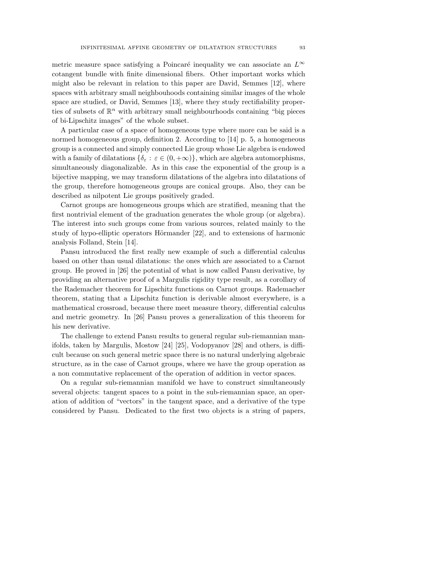metric measure space satisfying a Poincaré inequality we can associate an  $L^{\infty}$ cotangent bundle with finite dimensional fibers. Other important works which might also be relevant in relation to this paper are David, Semmes [12], where spaces with arbitrary small neighbouhoods containing similar images of the whole space are studied, or David, Semmes [13], where they study rectifiability properties of subsets of  $\mathbb{R}^n$  with arbitrary small neighbourhoods containing "big pieces of bi-Lipschitz images" of the whole subset.

A particular case of a space of homogeneous type where more can be said is a normed homogeneous group, definition 2. According to [14] p. 5, a homogeneous group is a connected and simply connected Lie group whose Lie algebra is endowed with a family of dilatations  $\{\delta_{\varepsilon} : \varepsilon \in (0, +\infty)\}\)$ , which are algebra automorphisms, simultaneously diagonalizable. As in this case the exponential of the group is a bijective mapping, we may transform dilatations of the algebra into dilatations of the group, therefore homogeneous groups are conical groups. Also, they can be described as nilpotent Lie groups positively graded.

Carnot groups are homogeneous groups which are stratified, meaning that the first nontrivial element of the graduation generates the whole group (or algebra). The interest into such groups come from various sources, related mainly to the study of hypo-elliptic operators Hörmander  $[22]$ , and to extensions of harmonic analysis Folland, Stein [14].

Pansu introduced the first really new example of such a differential calculus based on other than usual dilatations: the ones which are associated to a Carnot group. He proved in [26] the potential of what is now called Pansu derivative, by providing an alternative proof of a Margulis rigidity type result, as a corollary of the Rademacher theorem for Lipschitz functions on Carnot groups. Rademacher theorem, stating that a Lipschitz function is derivable almost everywhere, is a mathematical crossroad, because there meet measure theory, differential calculus and metric geometry. In [26] Pansu proves a generalization of this theorem for his new derivative.

The challenge to extend Pansu results to general regular sub-riemannian manifolds, taken by Margulis, Mostow [24] [25], Vodopyanov [28] and others, is difficult because on such general metric space there is no natural underlying algebraic structure, as in the case of Carnot groups, where we have the group operation as a non commutative replacement of the operation of addition in vector spaces.

On a regular sub-riemannian manifold we have to construct simultaneously several objects: tangent spaces to a point in the sub-riemannian space, an operation of addition of "vectors" in the tangent space, and a derivative of the type considered by Pansu. Dedicated to the first two objects is a string of papers,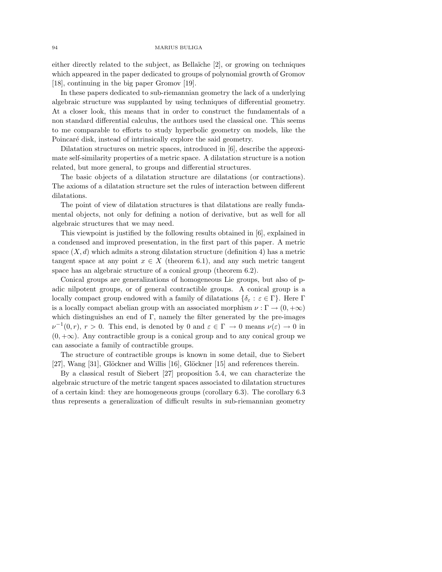either directly related to the subject, as Bellaïche  $[2]$ , or growing on techniques which appeared in the paper dedicated to groups of polynomial growth of Gromov [18], continuing in the big paper Gromov [19].

In these papers dedicated to sub-riemannian geometry the lack of a underlying algebraic structure was supplanted by using techniques of differential geometry. At a closer look, this means that in order to construct the fundamentals of a non standard differential calculus, the authors used the classical one. This seems to me comparable to efforts to study hyperbolic geometry on models, like the Poincaré disk, instead of intrinsically explore the said geometry.

Dilatation structures on metric spaces, introduced in [6], describe the approximate self-similarity properties of a metric space. A dilatation structure is a notion related, but more general, to groups and differential structures.

The basic objects of a dilatation structure are dilatations (or contractions). The axioms of a dilatation structure set the rules of interaction between different dilatations.

The point of view of dilatation structures is that dilatations are really fundamental objects, not only for defining a notion of derivative, but as well for all algebraic structures that we may need.

This viewpoint is justified by the following results obtained in [6], explained in a condensed and improved presentation, in the first part of this paper. A metric space  $(X, d)$  which admits a strong dilatation structure (definition 4) has a metric tangent space at any point  $x \in X$  (theorem 6.1), and any such metric tangent space has an algebraic structure of a conical group (theorem 6.2).

Conical groups are generalizations of homogeneous Lie groups, but also of padic nilpotent groups, or of general contractible groups. A conical group is a locally compact group endowed with a family of dilatations  $\{\delta_{\varepsilon} : \varepsilon \in \Gamma\}$ . Here Γ is a locally compact abelian group with an associated morphism  $\nu : \Gamma \to (0, +\infty)$ which distinguishes an end of  $\Gamma$ , namely the filter generated by the pre-images  $\nu^{-1}(0,r), r > 0$ . This end, is denoted by 0 and  $\varepsilon \in \Gamma \to 0$  means  $\nu(\varepsilon) \to 0$  in  $(0, +\infty)$ . Any contractible group is a conical group and to any conical group we can associate a family of contractible groups.

The structure of contractible groups is known in some detail, due to Siebert [27], Wang [31], Glöckner and Willis [16], Glöckner [15] and references therein.

By a classical result of Siebert [27] proposition 5.4, we can characterize the algebraic structure of the metric tangent spaces associated to dilatation structures of a certain kind: they are homogeneous groups (corollary 6.3). The corollary 6.3 thus represents a generalization of difficult results in sub-riemannian geometry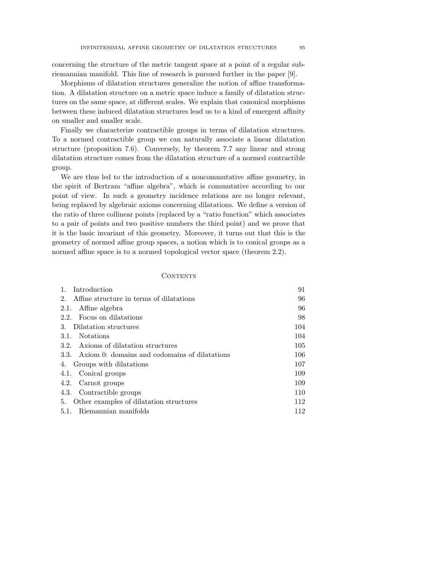concerning the structure of the metric tangent space at a point of a regular subriemannian manifold. This line of research is pursued further in the paper [9].

Morphisms of dilatation structures generalize the notion of affine transformation. A dilatation structure on a metric space induce a family of dilatation structures on the same space, at different scales. We explain that canonical morphisms between these induced dilatation structures lead us to a kind of emergent affinity on smaller and smaller scale.

Finally we characterize contractible groups in terms of dilatation structures. To a normed contractible group we can naturally associate a linear dilatation structure (proposition 7.6). Conversely, by theorem 7.7 any linear and strong dilatation structure comes from the dilatation structure of a normed contractible group.

We are thus led to the introduction of a noncommutative affine geometry, in the spirit of Bertram "affine algebra", which is commutative according to our point of view. In such a geometry incidence relations are no longer relevant, being replaced by algebraic axioms concerning dilatations. We define a version of the ratio of three collinear points (replaced by a "ratio function" which associates to a pair of points and two positive numbers the third point) and we prove that it is the basic invariant of this geometry. Moreover, it turns out that this is the geometry of normed affine group spaces, a notion which is to conical groups as a normed affine space is to a normed topological vector space (theorem 2.2).

### **CONTENTS**

| Introduction                                          | 91  |
|-------------------------------------------------------|-----|
| Affine structure in terms of dilatations<br>$2_{-}$   | 96  |
| Affine algebra<br>2.1.                                | 96  |
| Focus on dilatations<br>2.2.                          | 98  |
| Dilatation structures<br>3.                           | 104 |
| <b>Notations</b><br>3.1.                              | 104 |
| Axioms of dilatation structures<br>3.2.               | 105 |
| Axiom 0: domains and codomains of dilatations<br>3.3. | 106 |
| Groups with dilatations<br>4.                         | 107 |
| 4.1. Conical groups                                   | 109 |
| Carnot groups<br>4.2.                                 | 109 |
| 4.3. Contractible groups                              | 110 |
| Other examples of dilatation structures<br>5.         | 112 |
| Riemannian manifolds<br>5.1.                          | 112 |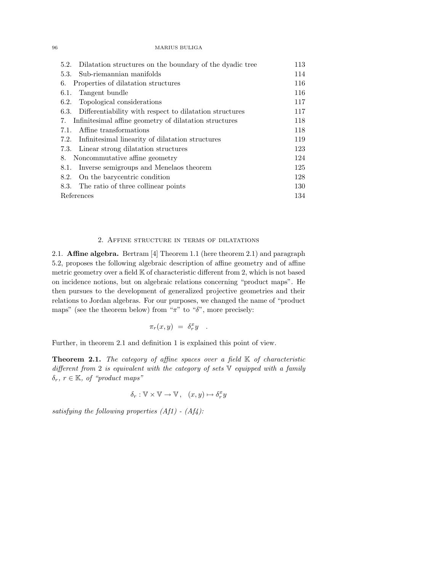| 5.2. Dilatation structures on the boundary of the dyadic tree | 113 |
|---------------------------------------------------------------|-----|
| 5.3. Sub-riemannian manifolds                                 | 114 |
| Properties of dilatation structures<br>6.                     | 116 |
| Tangent bundle<br>6.1.                                        | 116 |
| 6.2. Topological considerations                               | 117 |
| 6.3. Differentiability with respect to dilatation structures  | 117 |
| 7. Infinitesimal affine geometry of dilatation structures     | 118 |
| Affine transformations<br>7.1.                                | 118 |
| 7.2. Infinitesimal linearity of dilatation structures         | 119 |
| 7.3. Linear strong dilatation structures                      | 123 |
| Noncommutative affine geometry<br>8.                          | 124 |
| 8.1. Inverse semigroups and Menelaos theorem                  | 125 |
| 8.2. On the barycentric condition                             | 128 |
| 8.3. The ratio of three collinear points                      | 130 |
| References                                                    | 134 |

### 2. Affine structure in terms of dilatations

2.1. Affine algebra. Bertram [4] Theorem 1.1 (here theorem 2.1) and paragraph 5.2, proposes the following algebraic description of affine geometry and of affine metric geometry over a field  $K$  of characteristic different from 2, which is not based on incidence notions, but on algebraic relations concerning "product maps". He then pursues to the development of generalized projective geometries and their relations to Jordan algebras. For our purposes, we changed the name of "product maps" (see the theorem below) from " $\pi$ " to " $\delta$ ", more precisely:

$$
\pi_r(x,y) = \delta^x_r y \quad .
$$

Further, in theorem 2.1 and definition 1 is explained this point of view.

**Theorem 2.1.** The category of affine spaces over a field  $K$  of characteristic different from 2 is equivalent with the category of sets V equipped with a family  $\delta_r, r \in \mathbb{K}$ , of "product maps"

$$
\delta_r: \mathbb{V} \times \mathbb{V} \rightarrow \mathbb{V}\,,\ \ \, (x,y) \mapsto \delta^x_r y
$$

satisfying the following properties  $(Af1) - (Af4)$ :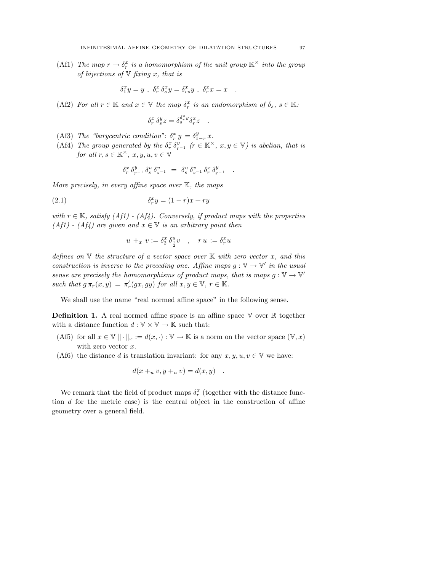(Af1) The map  $r \mapsto \delta_r^x$  is a homomorphism of the unit group  $\mathbb{K}^\times$  into the group of bijections of  $\nabla$  fixing x, that is

$$
\delta_1^x y = y \ , \ \delta_r^x \, \delta_s^x y = \delta_{rs}^x y \ , \ \delta_r^x x = x \quad .
$$

(Af2) For all  $r \in \mathbb{K}$  and  $x \in \mathbb{V}$  the map  $\delta_r^x$  is an endomorphism of  $\delta_s$ ,  $s \in \mathbb{K}$ :

$$
\delta^x_r\,\delta^y_s z = \delta^{\delta^x_r y}_s \delta^x_r z \quad .
$$

- (Af3) The "barycentric condition":  $\delta_r^x y = \delta_{1-r}^y x$ .
- (Af4) The group generated by the  $\delta_r^x \delta_{r^{-1}}^y$  ( $r \in \mathbb{K}^\times$ ,  $x, y \in \mathbb{V}$ ) is abelian, that is for all  $r, s \in \mathbb{K}^{\times}, x, y, u, v \in \mathbb{V}$

$$
\delta^x_r \ \delta^y_{r^{-1}} \ \delta^u_s \ \delta^v_{s^{-1}} \ = \ \delta^u_s \ \delta^v_{s^{-1}} \ \delta^x_r \ \delta^y_{r^{-1}} \quad .
$$

More precisely, in every affine space over  $K$ , the maps

$$
\delta_r^x y = (1 - r)x + ry
$$

with  $r \in \mathbb{K}$ , satisfy (Af1) - (Af4). Conversely, if product maps with the properties (Af1) - (Af4) are given and  $x \in V$  is an arbitrary point then

$$
u +_x v := \delta_2^x \, \delta_{\frac{1}{2}}^u v \quad , \quad r u := \delta_r^x u
$$

defines on  $V$  the structure of a vector space over  $K$  with zero vector x, and this construction is inverse to the preceding one. Affine maps  $g: V \to V'$  in the usual sense are precisely the homomorphisms of product maps, that is maps  $g: V \to V'$ such that  $g \pi_r(x, y) = \pi'_r(gx, gy)$  for all  $x, y \in \mathbb{V}$ ,  $r \in \mathbb{K}$ .

We shall use the name "real normed affine space" in the following sense.

**Definition 1.** A real normed affine space is an affine space  $\mathbb{V}$  over  $\mathbb{R}$  together with a distance function  $d: \mathbb{V} \times \mathbb{V} \rightarrow \mathbb{K}$  such that:

- (Af5) for all  $x \in \mathbb{V} \|\cdot\|_x := d(x, \cdot) : \mathbb{V} \to \mathbb{K}$  is a norm on the vector space  $(\mathbb{V}, x)$ with zero vector x.
- (Af6) the distance d is translation invariant: for any  $x, y, u, v \in V$  we have:

$$
d(x +_u v, y +_u v) = d(x, y) .
$$

We remark that the field of product maps  $\delta_r^x$  (together with the distance function  $d$  for the metric case) is the central object in the construction of affine geometry over a general field.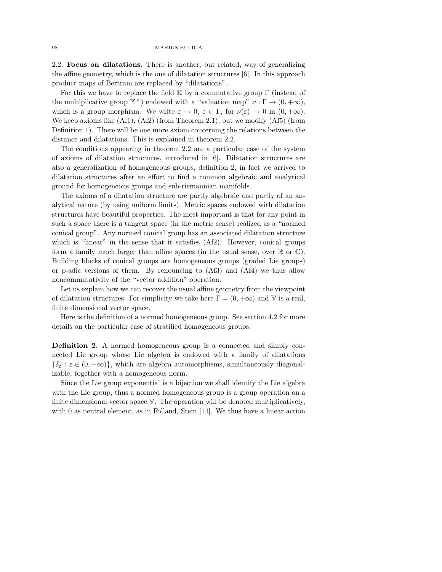2.2. Focus on dilatations. There is another, but related, way of generalizing the affine geometry, which is the one of dilatation structures [6]. In this approach product maps of Bertram are replaced by "dilatations".

For this we have to replace the field  $\mathbb K$  by a commutative group  $\Gamma$  (instead of the multiplicative group  $\mathbb{K}^{\times}$ ) endowed with a "valuation map"  $\nu : \Gamma \to (0, +\infty)$ , which is a group morphism. We write  $\varepsilon \to 0$ ,  $\varepsilon \in \Gamma$ , for  $\nu(\varepsilon) \to 0$  in  $(0, +\infty)$ . We keep axioms like (Af1), (Af2) (from Theorem 2.1), but we modify (Af5) (from Definition 1). There will be one more axiom concerning the relations between the distance and dilatations. This is explained in theorem 2.2.

The conditions appearing in theorem 2.2 are a particular case of the system of axioms of dilatation structures, introduced in [6]. Dilatation structures are also a generalization of homogeneous groups, definition 2, in fact we arrived to dilatation structures after an effort to find a common algebraic and analytical ground for homogeneous groups and sub-riemannian manifolds.

The axioms of a dilatation structure are partly algebraic and partly of an analytical nature (by using uniform limits). Metric spaces endowed with dilatation structures have beautiful properties. The most important is that for any point in such a space there is a tangent space (in the metric sense) realized as a "normed conical group". Any normed conical group has an associated dilatation structure which is "linear" in the sense that it satisfies  $(Af2)$ . However, conical groups form a family much larger than affine spaces (in the usual sense, over  $\mathbb R$  or  $\mathbb C$ ). Building blocks of conical groups are homogeneous groups (graded Lie groups) or p-adic versions of them. By renouncing to (Af3) and (Af4) we thus allow noncommutativity of the "vector addition" operation.

Let us explain how we can recover the usual affine geometry from the viewpoint of dilatation structures. For simplicity we take here  $\Gamma = (0, +\infty)$  and V is a real, finite dimensional vector space.

Here is the definition of a normed homogeneous group. See section 4.2 for more details on the particular case of stratified homogeneous groups.

Definition 2. A normed homogeneous group is a connected and simply connected Lie group whose Lie algebra is endowed with a family of dilatations  ${\delta_{\varepsilon}: \varepsilon \in (0, +\infty)}$ , which are algebra automorphisms, simultaneously diagonalizable, together with a homogeneous norm.

Since the Lie group exponential is a bijection we shall identify the Lie algebra with the Lie group, thus a normed homogeneous group is a group operation on a finite dimensional vector space V. The operation will be denoted multiplicatively, with 0 as neutral element, as in Folland, Stein [14]. We thus have a linear action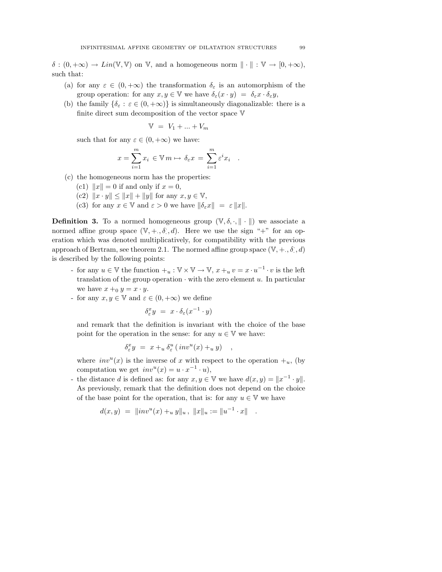$\delta : (0, +\infty) \to Lin(\mathbb{V}, \mathbb{V})$  on  $\mathbb{V}$ , and a homogeneous norm  $\|\cdot\| : \mathbb{V} \to [0, +\infty)$ , such that:

- (a) for any  $\varepsilon \in (0, +\infty)$  the transformation  $\delta_{\varepsilon}$  is an automorphism of the group operation: for any  $x, y \in \mathbb{V}$  we have  $\delta_{\varepsilon}(x \cdot y) = \delta_{\varepsilon} x \cdot \delta_{\varepsilon} y$ ,
- (b) the family  $\{\delta_{\varepsilon} : \varepsilon \in (0, +\infty)\}\$ is simultaneously diagonalizable: there is a finite direct sum decomposition of the vector space V

$$
\mathbb{V} = V_1 + \dots + V_m
$$

such that for any  $\varepsilon \in (0, +\infty)$  we have:

$$
x = \sum_{i=1}^{m} x_i \in \mathbb{V} \, m \mapsto \delta_{\varepsilon} x = \sum_{i=1}^{m} \varepsilon^i x_i
$$

.

- (c) the homogeneous norm has the properties:
	- (c1)  $||x|| = 0$  if and only if  $x = 0$ ,
	- (c2)  $||x \cdot y|| \le ||x|| + ||y||$  for any  $x, y \in \mathbb{V}$ ,
	- (c3) for any  $x \in V$  and  $\varepsilon > 0$  we have  $\|\delta_{\varepsilon}x\| = \varepsilon \|x\|$ .

**Definition 3.** To a normed homogeneous group  $(\mathbb{V}, \delta, \cdot, \| \cdot \|)$  we associate a normed affine group space  $(\mathbb{V}, +, \delta, d)$ . Here we use the sign "+" for an operation which was denoted multiplicatively, for compatibility with the previous approach of Bertram, see theorem 2.1. The normed affine group space  $(\mathbb{V}, +, \delta, d)$ is described by the following points:

- for any  $u \in \mathbb{V}$  the function  $u_i : \mathbb{V} \times \mathbb{V} \to \mathbb{V}$ ,  $x + u v = x \cdot u^{-1} \cdot v$  is the left translation of the group operation  $\cdot$  with the zero element u. In particular we have  $x +_0 y = x \cdot y$ .
- for any  $x, y \in \mathbb{V}$  and  $\varepsilon \in (0, +\infty)$  we define

$$
\delta^x_{\varepsilon} y = x \cdot \delta_{\varepsilon} (x^{-1} \cdot y)
$$

and remark that the definition is invariant with the choice of the base point for the operation in the sense: for any  $u \in V$  we have:

$$
\delta^x_{\varepsilon} y = x +_u \delta^u_{\varepsilon} (inv^u(x) +_u y) ,
$$

where  $inv<sup>u</sup>(x)$  is the inverse of x with respect to the operation  $+_u$ , (by computation we get  $inv^u(x) = u \cdot x^{-1} \cdot u$ ,

- the distance d is defined as: for any  $x, y \in V$  we have  $d(x, y) = ||x^{-1} \cdot y||$ . As previously, remark that the definition does not depend on the choice of the base point for the operation, that is: for any  $u \in V$  we have

$$
d(x, y) = ||inv^{u}(x) + u y||_{u}, ||x||_{u} := ||u^{-1} \cdot x||.
$$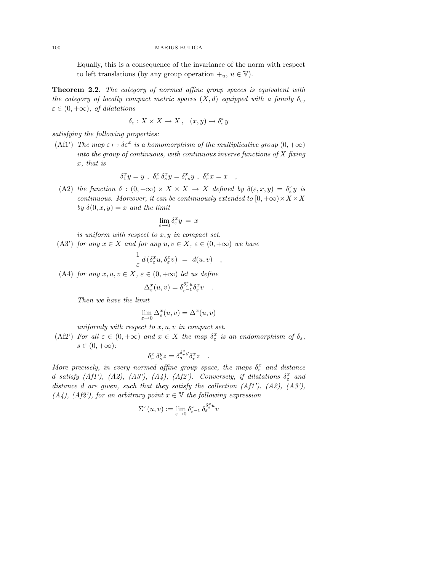Equally, this is a consequence of the invariance of the norm with respect to left translations (by any group operation  $+_u, u \in \mathbb{V}$ ).

Theorem 2.2. The category of normed affine group spaces is equivalent with the category of locally compact metric spaces  $(X, d)$  equipped with a family  $\delta_{\varepsilon}$ ,  $\varepsilon \in (0, +\infty)$ , of dilatations

$$
\delta_{\varepsilon}: X \times X \to X, \quad (x, y) \mapsto \delta_{\varepsilon}^{x} y
$$

satisfying the following properties:

(Af1') The map  $\varepsilon \mapsto \delta \varepsilon^x$  is a homomorphism of the multiplicative group  $(0, +\infty)$ into the group of continuous, with continuous inverse functions of  $X$  fixing x, that is

$$
\delta_1^x y = y \ , \ \delta_r^x \, \delta_s^x y = \delta_{rs}^x y \ , \ \delta_r^x x = x \quad ,
$$

(A2) the function  $\delta : (0, +\infty) \times X \times X \to X$  defined by  $\delta(\varepsilon, x, y) = \delta^x_{\varepsilon} y$  is continuous. Moreover, it can be continuously extended to  $[0, +\infty) \times X \times X$ by  $\delta(0, x, y) = x$  and the limit

$$
\lim_{\varepsilon \to 0} \delta^x_{\varepsilon} y = x
$$

is uniform with respect to  $x, y$  in compact set.

(A3') for any  $x \in X$  and for any  $u, v \in X$ ,  $\varepsilon \in (0, +\infty)$  we have

$$
\frac{1}{\varepsilon} d\left(\delta^x_{\varepsilon} u, \delta^x_{\varepsilon} v\right) = d(u, v) ,
$$

(A4) for any  $x, u, v \in X$ ,  $\varepsilon \in (0, +\infty)$  let us define

$$
\Delta^x_{\varepsilon}(u,v) = \delta^{\delta^x_{\varepsilon} u}_{\varepsilon^{-1}} \delta^x_{\varepsilon} v \quad .
$$

Then we have the limit

$$
\lim_{\varepsilon \to 0} \Delta^x_{\varepsilon}(u, v) = \Delta^x(u, v)
$$

uniformly with respect to  $x, u, v$  in compact set.

(Af2') For all  $\varepsilon \in (0, +\infty)$  and  $x \in X$  the map  $\delta_{\varepsilon}^x$  is an endomorphism of  $\delta_s$ ,  $s \in (0, +\infty)$ :

$$
\delta^x_r\,\delta^y_s z = \delta^{\delta^x_r y}_s \delta^x_r z \quad .
$$

More precisely, in every normed affine group space, the maps  $\delta_{\varepsilon}^x$  and distance d satisfy  $(Af1'), (A2), (A3'), (A4), (A f2').$  Conversely, if dilatations  $\delta_{\varepsilon}^x$  and distance d are given, such that they satisfy the collection  $(Af1'), (A2), (A3'),$  $(A_4)$ ,  $(A_4\hat{z}^2)$ , for an arbitrary point  $x \in \mathbb{V}$  the following expression

$$
\Sigma^x(u,v) := \lim_{\varepsilon \to 0} \delta_{\varepsilon^{-1}}^x \, \delta_{\varepsilon}^{\delta_{\varepsilon}^x u} v
$$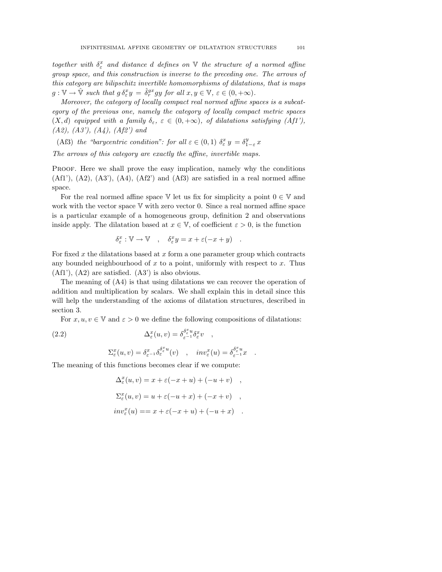together with  $\delta_{\varepsilon}^x$  and distance d defines on  $\mathbb {V}$  the structure of a normed affine group space, and this construction is inverse to the preceding one. The arrows of this category are bilipschitz invertible homomorphisms of dilatations, that is maps  $g: \mathbb{V} \to \hat{\mathbb{V}}$  such that  $g \delta^x_{\varepsilon} y = \hat{\delta}^{gx}_{r} gy$  for all  $x, y \in \mathbb{V}, \varepsilon \in (0, +\infty)$ .

Moreover, the category of locally compact real normed affine spaces is a subcategory of the previous one, namely the category of locally compact metric spaces  $(X, d)$  equipped with a family  $\delta_{\varepsilon}$ ,  $\varepsilon \in (0, +\infty)$ , of dilatations satisfying  $(Af1')$ ,  $(A2), (A3'), (A4), (A42')$  and

(Af3) the "barycentric condition": for all  $\varepsilon \in (0,1)$   $\delta_{\varepsilon}^{x} y = \delta_{1-\varepsilon}^{y} x$ 

The arrows of this category are exactly the affine, invertible maps.

Proof. Here we shall prove the easy implication, namely why the conditions  $(Af1'), (A2), (A3'), (A4), (Af2')$  and  $(Af3)$  are satisfied in a real normed affine space.

For the real normed affine space  $V$  let us fix for simplicity a point  $0 \in V$  and work with the vector space  $V$  with zero vector 0. Since a real normed affine space is a particular example of a homogeneous group, definition 2 and observations inside apply. The dilatation based at  $x \in \mathbb{V}$ , of coefficient  $\varepsilon > 0$ , is the function

$$
\delta^x_\varepsilon : \mathbb{V} \to \mathbb{V} \quad , \quad \delta^x_\varepsilon y = x + \varepsilon (-x + y) \quad .
$$

For fixed  $x$  the dilatations based at  $x$  form a one parameter group which contracts any bounded neighbourhood of  $x$  to a point, uniformly with respect to  $x$ . Thus (Af1'), (A2) are satisfied. (A3') is also obvious.

The meaning of (A4) is that using dilatations we can recover the operation of addition and multiplication by scalars. We shall explain this in detail since this will help the understanding of the axioms of dilatation structures, described in section 3.

For  $x, u, v \in V$  and  $\varepsilon > 0$  we define the following compositions of dilatations:

(2.2) 
$$
\Delta_{\varepsilon}^{x}(u,v) = \delta_{\varepsilon^{-1}}^{\delta_{\varepsilon}^{x}u} \delta_{\varepsilon}^{x}v ,
$$

$$
\Sigma_{\varepsilon}^{x}(u,v) = \delta_{\varepsilon^{-1}}^{\delta_{\varepsilon}^{x}u}(v) , \quad inv_{\varepsilon}^{x}(u) = \delta_{\varepsilon^{-1}}^{\delta_{\varepsilon}^{x}u} .
$$

The meaning of this functions becomes clear if we compute:

$$
\Delta_{\varepsilon}^{x}(u, v) = x + \varepsilon(-x + u) + (-u + v) ,
$$
  
\n
$$
\Sigma_{\varepsilon}^{x}(u, v) = u + \varepsilon(-u + x) + (-x + v) ,
$$
  
\n
$$
inv_{\varepsilon}^{x}(u) = x + \varepsilon(-x + u) + (-u + x) .
$$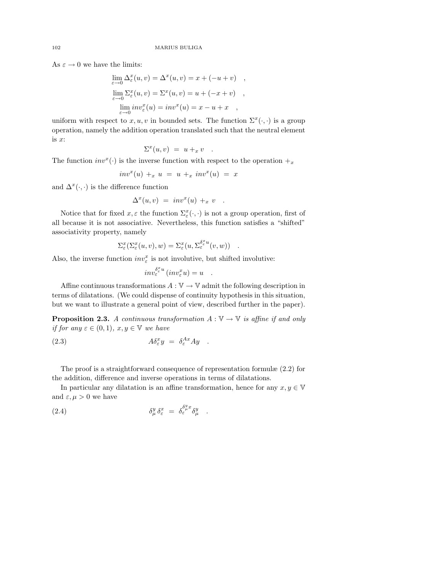As  $\varepsilon \to 0$  we have the limits:

$$
\lim_{\varepsilon \to 0} \Delta_{\varepsilon}^{x}(u, v) = \Delta^{x}(u, v) = x + (-u + v) ,
$$
  
\n
$$
\lim_{\varepsilon \to 0} \Sigma_{\varepsilon}^{x}(u, v) = \Sigma^{x}(u, v) = u + (-x + v) ,
$$
  
\n
$$
\lim_{\varepsilon \to 0} inv_{\varepsilon}^{x}(u) = inv^{x}(u) = x - u + x ,
$$

uniform with respect to  $x, u, v$  in bounded sets. The function  $\Sigma^x(\cdot, \cdot)$  is a group operation, namely the addition operation translated such that the neutral element is  $x$ :

$$
\Sigma^x(u,v) = u +_x v .
$$

The function  $inv^x(\cdot)$  is the inverse function with respect to the operation  $+x$ 

$$
inv^x(u) +_x u = u +_x inv^x(u) = x
$$

and  $\Delta^x(\cdot, \cdot)$  is the difference function

$$
\Delta^x(u,v) = inv^x(u) +_x v .
$$

Notice that for fixed  $x, \varepsilon$  the function  $\Sigma_{\varepsilon}^x(\cdot, \cdot)$  is not a group operation, first of all because it is not associative. Nevertheless, this function satisfies a "shifted" associativity property, namely

$$
\Sigma^x_{\varepsilon}(\Sigma^x_{\varepsilon}(u,v),w) = \Sigma^x_{\varepsilon}(u,\Sigma^{\delta^x_{\varepsilon}u}_{\varepsilon}(v,w)) .
$$

Also, the inverse function  $inv_{\varepsilon}^x$  is not involutive, but shifted involutive:

$$
inv_{\varepsilon}^{\delta_{\varepsilon}^x u} (inv_{\varepsilon}^x u) = u \quad .
$$

Affine continuous transformations  $A: \mathbb{V} \to \mathbb{V}$  admit the following description in terms of dilatations. (We could dispense of continuity hypothesis in this situation, but we want to illustrate a general point of view, described further in the paper).

**Proposition 2.3.** A continuous transformation  $A: \mathbb{V} \to \mathbb{V}$  is affine if and only if for any  $\varepsilon \in (0,1)$ ,  $x, y \in \mathbb{V}$  we have

(2.3) 
$$
A\delta^x_{\varepsilon}y = \delta^{Ax}_{\varepsilon}Ay .
$$

The proof is a straightforward consequence of representation formulæ (2.2) for the addition, difference and inverse operations in terms of dilatations.

In particular any dilatation is an affine transformation, hence for any  $x, y \in V$ and  $\varepsilon, \mu > 0$  we have

.

(2.4) 
$$
\delta^y_\mu \delta^x_\varepsilon = \delta^{\delta^y_\mu x}_\varepsilon \delta^y_\mu
$$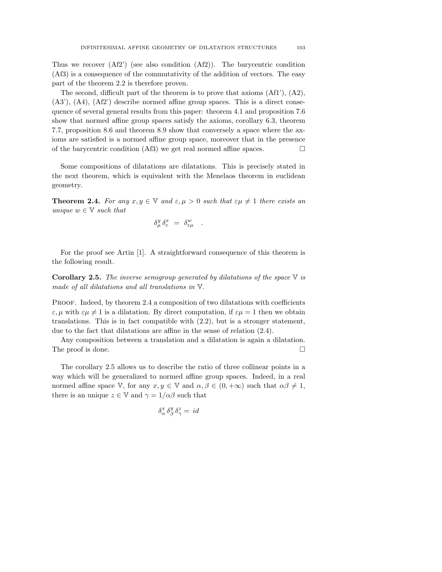Thus we recover (Af2') (see also condition (Af2)). The barycentric condition (Af3) is a consequence of the commutativity of the addition of vectors. The easy part of the theorem 2.2 is therefore proven.

The second, difficult part of the theorem is to prove that axioms  $(Af1'), (A2),$ (A3'), (A4), (Af2') describe normed affine group spaces. This is a direct consequence of several general results from this paper: theorem 4.1 and proposition 7.6 show that normed affine group spaces satisfy the axioms, corollary 6.3, theorem 7.7, proposition 8.6 and theorem 8.9 show that conversely a space where the axioms are satisfied is a normed affine group space, moreover that in the presence of the barycentric condition (Af3) we get real normed affine spaces.  $\Box$ 

Some compositions of dilatations are dilatations. This is precisely stated in the next theorem, which is equivalent with the Menelaos theorem in euclidean geometry.

**Theorem 2.4.** For any  $x, y \in \mathbb{V}$  and  $\varepsilon, \mu > 0$  such that  $\varepsilon \mu \neq 1$  there exists an unique  $w \in V$  such that

$$
\delta^y_\mu\,\delta^x_\varepsilon\ =\ \delta^w_{\varepsilon\mu}\quad.
$$

For the proof see Artin [1]. A straightforward consequence of this theorem is the following result.

**Corollary 2.5.** The inverse semigroup generated by dilatations of the space  $\nabla$  is made of all dilatations and all translations in V.

PROOF. Indeed, by theorem 2.4 a composition of two dilatations with coefficients  $\varepsilon, \mu$  with  $\varepsilon \mu \neq 1$  is a dilatation. By direct computation, if  $\varepsilon \mu = 1$  then we obtain translations. This is in fact compatible with (2.2), but is a stronger statement, due to the fact that dilatations are affine in the sense of relation (2.4).

Any composition between a translation and a dilatation is again a dilatation. The proof is done.  $\Box$ 

The corollary 2.5 allows us to describe the ratio of three collinear points in a way which will be generalized to normed affine group spaces. Indeed, in a real normed affine space V, for any  $x, y \in V$  and  $\alpha, \beta \in (0, +\infty)$  such that  $\alpha\beta \neq 1$ , there is an unique  $z \in V$  and  $\gamma = 1/\alpha\beta$  such that

$$
\delta^x_\alpha \, \delta^y_\beta \, \delta^z_\gamma = \, id
$$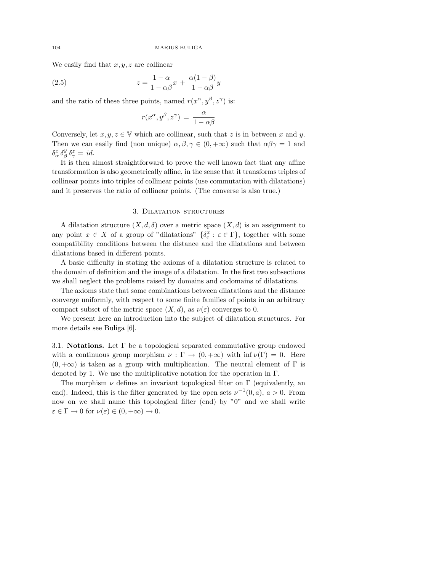We easily find that  $x, y, z$  are collinear

(2.5) 
$$
z = \frac{1 - \alpha}{1 - \alpha \beta} x + \frac{\alpha (1 - \beta)}{1 - \alpha \beta} y
$$

and the ratio of these three points, named  $r(x^{\alpha}, y^{\beta}, z^{\gamma})$  is:

$$
r(x^{\alpha}, y^{\beta}, z^{\gamma}) = \frac{\alpha}{1 - \alpha \beta}
$$

Conversely, let  $x, y, z \in V$  which are collinear, such that z is in between x and y. Then we can easily find (non unique)  $\alpha, \beta, \gamma \in (0, +\infty)$  such that  $\alpha\beta\gamma = 1$  and  $\delta^x_\alpha \, \delta^y_\beta \, \delta^z_\gamma = id.$ 

It is then almost straightforward to prove the well known fact that any affine transformation is also geometrically affine, in the sense that it transforms triples of collinear points into triples of collinear points (use commutation with dilatations) and it preserves the ratio of collinear points. (The converse is also true.)

# 3. Dilatation structures

A dilatation structure  $(X, d, \delta)$  over a metric space  $(X, d)$  is an assignment to any point  $x \in X$  of a group of "dilatations"  $\{\delta^x_\varepsilon : \varepsilon \in \Gamma\}$ , together with some compatibility conditions between the distance and the dilatations and between dilatations based in different points.

A basic difficulty in stating the axioms of a dilatation structure is related to the domain of definition and the image of a dilatation. In the first two subsections we shall neglect the problems raised by domains and codomains of dilatations.

The axioms state that some combinations between dilatations and the distance converge uniformly, with respect to some finite families of points in an arbitrary compact subset of the metric space  $(X, d)$ , as  $\nu(\varepsilon)$  converges to 0.

We present here an introduction into the subject of dilatation structures. For more details see Buliga [6].

3.1. **Notations.** Let  $\Gamma$  be a topological separated commutative group endowed with a continuous group morphism  $\nu : \Gamma \to (0, +\infty)$  with  $\inf \nu(\Gamma) = 0$ . Here  $(0, +\infty)$  is taken as a group with multiplication. The neutral element of  $\Gamma$  is denoted by 1. We use the multiplicative notation for the operation in Γ.

The morphism  $\nu$  defines an invariant topological filter on  $\Gamma$  (equivalently, an end). Indeed, this is the filter generated by the open sets  $\nu^{-1}(0, a)$ ,  $a > 0$ . From now on we shall name this topological filter (end) by "0" and we shall write  $\varepsilon \in \Gamma \to 0$  for  $\nu(\varepsilon) \in (0, +\infty) \to 0$ .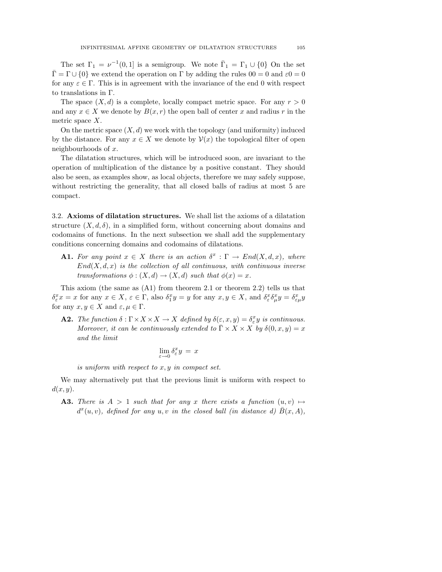The set  $\Gamma_1 = \nu^{-1}(0,1]$  is a semigroup. We note  $\bar{\Gamma}_1 = \Gamma_1 \cup \{0\}$  On the set  $\bar{\Gamma} = \Gamma \cup \{0\}$  we extend the operation on  $\Gamma$  by adding the rules  $00 = 0$  and  $\varepsilon_0 = 0$ for any  $\varepsilon \in \Gamma$ . This is in agreement with the invariance of the end 0 with respect to translations in Γ.

The space  $(X, d)$  is a complete, locally compact metric space. For any  $r > 0$ and any  $x \in X$  we denote by  $B(x, r)$  the open ball of center x and radius r in the metric space X.

On the metric space  $(X, d)$  we work with the topology (and uniformity) induced by the distance. For any  $x \in X$  we denote by  $\mathcal{V}(x)$  the topological filter of open neighbourhoods of x.

The dilatation structures, which will be introduced soon, are invariant to the operation of multiplication of the distance by a positive constant. They should also be seen, as examples show, as local objects, therefore we may safely suppose, without restricting the generality, that all closed balls of radius at most 5 are compact.

3.2. Axioms of dilatation structures. We shall list the axioms of a dilatation structure  $(X, d, \delta)$ , in a simplified form, without concerning about domains and codomains of functions. In the next subsection we shall add the supplementary conditions concerning domains and codomains of dilatations.

**A1.** For any point  $x \in X$  there is an action  $\delta^x : \Gamma \to End(X, d, x)$ , where  $End(X, d, x)$  is the collection of all continuous, with continuous inverse transformations  $\phi: (X, d) \to (X, d)$  such that  $\phi(x) = x$ .

This axiom (the same as (A1) from theorem 2.1 or theorem 2.2) tells us that  $\delta^x_\varepsilon x = x$  for any  $x \in X$ ,  $\varepsilon \in \Gamma$ , also  $\delta^x_1 y = y$  for any  $x, y \in X$ , and  $\delta^x_\varepsilon \delta^x_\mu y = \delta^x_{\varepsilon \mu} y$ for any  $x, y \in X$  and  $\varepsilon, \mu \in \Gamma$ .

**A2.** The function  $\delta : \Gamma \times X \times X \to X$  defined by  $\delta(\varepsilon, x, y) = \delta_{\varepsilon}^x y$  is continuous. Moreover, it can be continuously extended to  $\Gamma \times X \times X$  by  $\delta(0, x, y) = x$ and the limit

$$
\lim_{\varepsilon \to 0} \delta^x_{\varepsilon} y = x
$$

is uniform with respect to x, y in compact set.

We may alternatively put that the previous limit is uniform with respect to  $d(x, y)$ .

**A3.** There is  $A > 1$  such that for any x there exists a function  $(u, v) \mapsto$  $d^x(u, v)$ , defined for any  $u, v$  in the closed ball (in distance d)  $\overline{B}(x, A)$ ,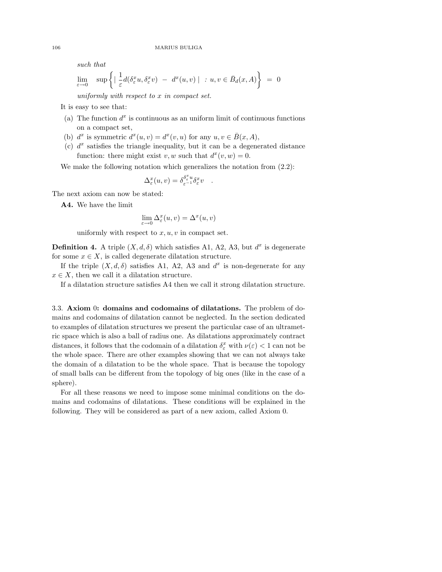such that

$$
\lim_{\varepsilon \to 0} \quad \sup \left\{ \left| \frac{1}{\varepsilon} d(\delta_{\varepsilon}^x u, \delta_{\varepsilon}^x v) - d^x(u, v) \right| : u, v \in \bar{B}_d(x, A) \right\} = 0
$$

uniformly with respect to  $x$  in compact set.

It is easy to see that:

- (a) The function  $d^x$  is continuous as an uniform limit of continuous functions on a compact set,
- (b)  $d^x$  is symmetric  $d^x(u, v) = d^x(v, u)$  for any  $u, v \in \overline{B}(x, A)$ ,
- (c)  $d^x$  satisfies the triangle inequality, but it can be a degenerated distance function: there might exist v, w such that  $d^x(v, w) = 0$ .

We make the following notation which generalizes the notation from  $(2.2)$ :

$$
\Delta^x_{\varepsilon}(u,v) = \delta_{\varepsilon^{-1}}^{\delta^x_{\varepsilon} u} \delta^x_{\varepsilon} v \quad .
$$

The next axiom can now be stated:

A4. We have the limit

$$
\lim_{\varepsilon \to 0} \Delta^x_{\varepsilon}(u, v) = \Delta^x(u, v)
$$

uniformly with respect to  $x, u, v$  in compact set.

**Definition 4.** A triple  $(X, d, \delta)$  which satisfies A1, A2, A3, but  $d^x$  is degenerate for some  $x \in X$ , is called degenerate dilatation structure.

If the triple  $(X, d, \delta)$  satisfies A1, A2, A3 and  $d^x$  is non-degenerate for any  $x \in X$ , then we call it a dilatation structure.

If a dilatation structure satisfies A4 then we call it strong dilatation structure.

3.3. Axiom 0: domains and codomains of dilatations. The problem of domains and codomains of dilatation cannot be neglected. In the section dedicated to examples of dilatation structures we present the particular case of an ultrametric space which is also a ball of radius one. As dilatations approximately contract distances, it follows that the codomain of a dilatation  $\delta_{\varepsilon}^x$  with  $\nu(\varepsilon) < 1$  can not be the whole space. There are other examples showing that we can not always take the domain of a dilatation to be the whole space. That is because the topology of small balls can be different from the topology of big ones (like in the case of a sphere).

For all these reasons we need to impose some minimal conditions on the domains and codomains of dilatations. These conditions will be explained in the following. They will be considered as part of a new axiom, called Axiom 0.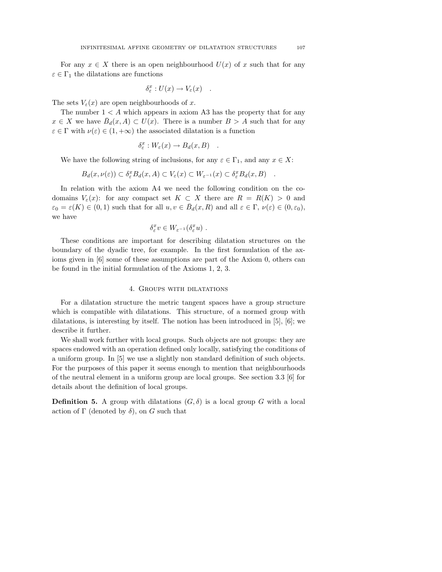For any  $x \in X$  there is an open neighbourhood  $U(x)$  of x such that for any  $\varepsilon \in \Gamma_1$  the dilatations are functions

$$
\delta_{\varepsilon}^x : U(x) \to V_{\varepsilon}(x) .
$$

The sets  $V_{\varepsilon}(x)$  are open neighbourhoods of x.

The number  $1 \leq A$  which appears in axiom A3 has the property that for any  $x \in X$  we have  $\bar{B}_d(x, A) \subset U(x)$ . There is a number  $B > A$  such that for any  $\varepsilon \in \Gamma$  with  $\nu(\varepsilon) \in (1, +\infty)$  the associated dilatation is a function

$$
\delta^x_{\varepsilon}: W_{\varepsilon}(x) \to B_d(x, B) \quad .
$$

We have the following string of inclusions, for any  $\varepsilon \in \Gamma_1$ , and any  $x \in X$ :

$$
B_d(x,\nu(\varepsilon)) \subset \delta_{\varepsilon}^x B_d(x,A) \subset V_{\varepsilon}(x) \subset W_{\varepsilon^{-1}}(x) \subset \delta_{\varepsilon}^x B_d(x,B) \quad .
$$

In relation with the axiom A4 we need the following condition on the codomains  $V_{\varepsilon}(x)$ : for any compact set  $K \subset X$  there are  $R = R(K) > 0$  and  $\varepsilon_0 = \varepsilon(K) \in (0,1)$  such that for all  $u, v \in \overline{B}_d(x,R)$  and all  $\varepsilon \in \Gamma$ ,  $\nu(\varepsilon) \in (0,\varepsilon_0)$ , we have

$$
\delta^x_{\varepsilon} v \in W_{\varepsilon^{-1}}(\delta^x_{\varepsilon} u) \ .
$$

These conditions are important for describing dilatation structures on the boundary of the dyadic tree, for example. In the first formulation of the axioms given in [6] some of these assumptions are part of the Axiom 0, others can be found in the initial formulation of the Axioms 1, 2, 3.

# 4. Groups with dilatations

For a dilatation structure the metric tangent spaces have a group structure which is compatible with dilatations. This structure, of a normed group with dilatations, is interesting by itself. The notion has been introduced in [5], [6]; we describe it further.

We shall work further with local groups. Such objects are not groups: they are spaces endowed with an operation defined only locally, satisfying the conditions of a uniform group. In [5] we use a slightly non standard definition of such objects. For the purposes of this paper it seems enough to mention that neighbourhoods of the neutral element in a uniform group are local groups. See section 3.3 [6] for details about the definition of local groups.

**Definition 5.** A group with dilatations  $(G, \delta)$  is a local group G with a local action of  $\Gamma$  (denoted by  $\delta$ ), on G such that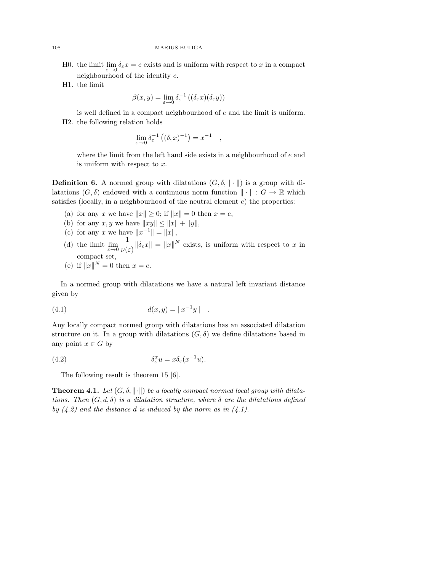- H0. the limit  $\lim_{\varepsilon \to 0} \delta_{\varepsilon} x = e$  exists and is uniform with respect to x in a compact neighbourhood of the identity e.
- H1. the limit

$$
\beta(x,y) = \lim_{\varepsilon \to 0} \delta_{\varepsilon}^{-1} \left( (\delta_{\varepsilon} x)(\delta_{\varepsilon} y) \right)
$$

is well defined in a compact neighbourhood of e and the limit is uniform. H2. the following relation holds

$$
\lim_{\varepsilon \to 0} \delta_{\varepsilon}^{-1} \left( (\delta_{\varepsilon} x)^{-1} \right) = x^{-1}
$$

where the limit from the left hand side exists in a neighbourhood of  $e$  and is uniform with respect to x.

,

**Definition 6.** A normed group with dilatations  $(G, \delta, \|\cdot\|)$  is a group with dilatations  $(G, \delta)$  endowed with a continuous norm function  $\|\cdot\| : G \to \mathbb{R}$  which satisfies (locally, in a neighbourhood of the neutral element  $e$ ) the properties:

- (a) for any x we have  $||x|| \geq 0$ ; if  $||x|| = 0$  then  $x = e$ ,
- (b) for any  $x, y$  we have  $||xy|| \le ||x|| + ||y||$ ,
- (c) for any x we have  $||x^{-1}|| = ||x||$ ,
- (d) the limit  $\lim_{\varepsilon \to 0} \frac{1}{\nu(\varepsilon)}$  $\frac{1}{\nu(\varepsilon)}\|\delta_{\varepsilon}x\| = \|x\|^N$  exists, is uniform with respect to x in compact set,
- (e) if  $||x||^N = 0$  then  $x = e$ .

In a normed group with dilatations we have a natural left invariant distance given by

(4.1) 
$$
d(x, y) = ||x^{-1}y||.
$$

Any locally compact normed group with dilatations has an associated dilatation structure on it. In a group with dilatations  $(G, \delta)$  we define dilatations based in any point  $x \in G$  by

(4.2) 
$$
\delta_{\varepsilon}^x u = x \delta_{\varepsilon} (x^{-1} u).
$$

The following result is theorem 15 [6].

**Theorem 4.1.** Let  $(G, \delta, ||\cdot||)$  be a locally compact normed local group with dilatations. Then  $(G, d, \delta)$  is a dilatation structure, where  $\delta$  are the dilatations defined by  $(4.2)$  and the distance d is induced by the norm as in  $(4.1)$ .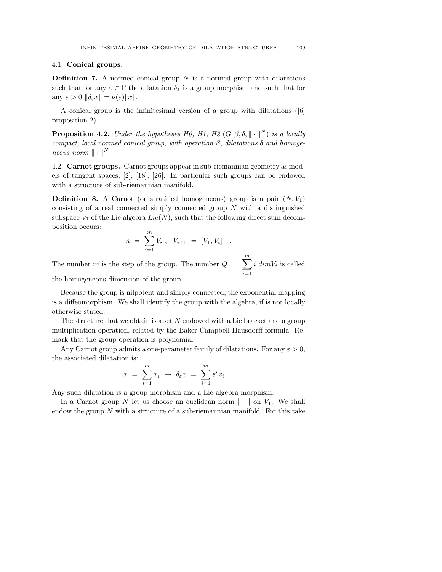# 4.1. Conical groups.

**Definition 7.** A normed conical group  $N$  is a normed group with dilatations such that for any  $\varepsilon \in \Gamma$  the dilatation  $\delta_{\varepsilon}$  is a group morphism and such that for any  $\varepsilon > 0$   $\|\delta_{\varepsilon}x\| = \nu(\varepsilon)\|x\|.$ 

A conical group is the infinitesimal version of a group with dilatations ([6] proposition 2).

**Proposition 4.2.** Under the hypotheses H0, H1, H2  $(G, \beta, \delta, \|\cdot\|^N)$  is a locally compact, local normed conical group, with operation  $\beta$ , dilatations  $\delta$  and homogeneous norm  $\|\cdot\|^N$ .

4.2. Carnot groups. Carnot groups appear in sub-riemannian geometry as models of tangent spaces, [2], [18], [26]. In particular such groups can be endowed with a structure of sub-riemannian manifold.

**Definition 8.** A Carnot (or stratified homogeneous) group is a pair  $(N, V_1)$ consisting of a real connected simply connected group  $N$  with a distinguished subspace  $V_1$  of the Lie algebra  $Lie(N)$ , such that the following direct sum decomposition occurs:

$$
n = \sum_{i=1}^{m} V_i , V_{i+1} = [V_1, V_i] .
$$

The number m is the step of the group. The number  $Q = \sum_{m=1}^{m}$  $i=1$  $i \ dim V_i$  is called

the homogeneous dimension of the group.

Because the group is nilpotent and simply connected, the exponential mapping is a diffeomorphism. We shall identify the group with the algebra, if is not locally otherwise stated.

The structure that we obtain is a set  $N$  endowed with a Lie bracket and a group multiplication operation, related by the Baker-Campbell-Hausdorff formula. Remark that the group operation is polynomial.

Any Carnot group admits a one-parameter family of dilatations. For any  $\varepsilon > 0$ , the associated dilatation is:

$$
x = \sum_{i=1}^m x_i \mapsto \delta_{\varepsilon} x = \sum_{i=1}^m \varepsilon^i x_i .
$$

Any such dilatation is a group morphism and a Lie algebra morphism.

In a Carnot group N let us choose an euclidean norm  $\|\cdot\|$  on  $V_1$ . We shall endow the group  $N$  with a structure of a sub-riemannian manifold. For this take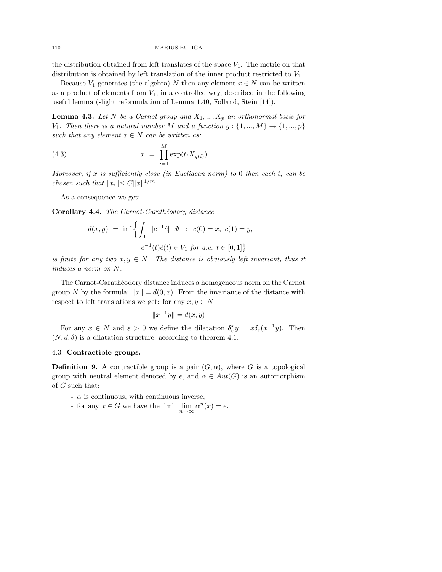the distribution obtained from left translates of the space  $V_1$ . The metric on that distribution is obtained by left translation of the inner product restricted to  $V_1$ .

Because  $V_1$  generates (the algebra) N then any element  $x \in N$  can be written as a product of elements from  $V_1$ , in a controlled way, described in the following useful lemma (slight reformulation of Lemma 1.40, Folland, Stein [14]).

**Lemma 4.3.** Let N be a Carnot group and  $X_1, ..., X_p$  an orthonormal basis for  $V_1$ . Then there is a natural number M and a function  $g: \{1, ..., M\} \rightarrow \{1, ..., p\}$ such that any element  $x \in N$  can be written as:

(4.3) 
$$
x = \prod_{i=1}^{M} \exp(t_i X_{g(i)}) .
$$

Moreover, if x is sufficiently close (in Euclidean norm) to 0 then each  $t_i$  can be chosen such that  $|t_i| \leq C ||x||^{1/m}$ .

As a consequence we get:

Corollary 4.4. The Carnot-Carathéodory distance

$$
d(x, y) = \inf \left\{ \int_0^1 \|c^{-1}\dot{c}\| \ dt \ : \ c(0) = x, \ c(1) = y, \right.
$$
  

$$
c^{-1}(t)\dot{c}(t) \in V_1 \text{ for a.e. } t \in [0, 1] \right\}
$$

is finite for any two  $x, y \in N$ . The distance is obviously left invariant, thus it induces a norm on N.

The Carnot-Carath´eodory distance induces a homogeneous norm on the Carnot group N by the formula:  $||x|| = d(0, x)$ . From the invariance of the distance with respect to left translations we get: for any  $x, y \in N$ 

$$
||x^{-1}y|| = d(x, y)
$$

For any  $x \in N$  and  $\varepsilon > 0$  we define the dilatation  $\delta^x_{\varepsilon} y = x \delta_{\varepsilon} (x^{-1} y)$ . Then  $(N, d, \delta)$  is a dilatation structure, according to theorem 4.1.

# 4.3. Contractible groups.

**Definition 9.** A contractible group is a pair  $(G, \alpha)$ , where G is a topological group with neutral element denoted by e, and  $\alpha \in Aut(G)$  is an automorphism of G such that:

- $-\alpha$  is continuous, with continuous inverse,
- for any  $x \in G$  we have the limit  $\lim_{n \to \infty} \alpha^n(x) = e$ .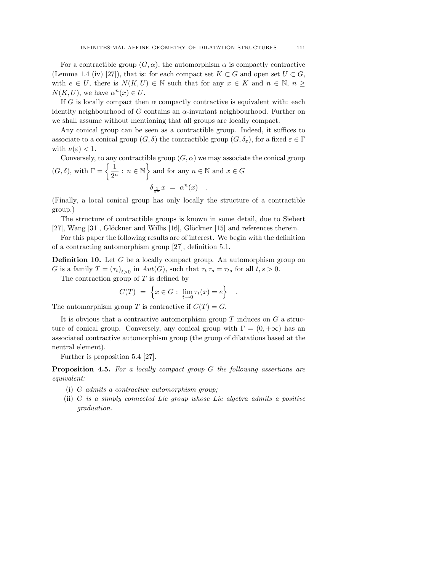For a contractible group  $(G, \alpha)$ , the automorphism  $\alpha$  is compactly contractive (Lemma 1.4 (iv) [27]), that is: for each compact set  $K \subset G$  and open set  $U \subset G$ , with  $e \in U$ , there is  $N(K, U) \in \mathbb{N}$  such that for any  $x \in K$  and  $n \in \mathbb{N}$ ,  $n \geq$  $N(K, U)$ , we have  $\alpha^{n}(x) \in U$ .

If G is locally compact then  $\alpha$  compactly contractive is equivalent with: each identity neighbourhood of G contains an  $\alpha$ -invariant neighbourhood. Further on we shall assume without mentioning that all groups are locally compact.

Any conical group can be seen as a contractible group. Indeed, it suffices to associate to a conical group  $(G, \delta)$  the contractible group  $(G, \delta_{\varepsilon})$ , for a fixed  $\varepsilon \in \Gamma$ with  $\nu(\varepsilon) < 1$ .

Conversely, to any contractible group  $(G, \alpha)$  we may associate the conical group  $(G, \delta)$ , with  $\Gamma = \left\{\frac{1}{\alpha^2}\right\}$  $\left\{\frac{1}{2^n}: n \in \mathbb{N}\right\}$  and for any  $n \in \mathbb{N}$  and  $x \in G$  $\delta_{\frac{1}{2^n}} x = \alpha^n(x)$ .

(Finally, a local conical group has only locally the structure of a contractible group.)

The structure of contractible groups is known in some detail, due to Siebert [27], Wang [31], Glöckner and Willis [16], Glöckner [15] and references therein.

For this paper the following results are of interest. We begin with the definition of a contracting automorphism group [27], definition 5.1.

**Definition 10.** Let G be a locally compact group. An automorphism group on G is a family  $T = (\tau_t)_{t>0}$  in  $Aut(G)$ , such that  $\tau_t \tau_s = \tau_{ts}$  for all  $t, s > 0$ .

The contraction group of  $T$  is defined by

$$
C(T) = \left\{ x \in G : \lim_{t \to 0} \tau_t(x) = e \right\}
$$

.

The automorphism group T is contractive if  $C(T) = G$ .

It is obvious that a contractive automorphism group  $T$  induces on  $G$  a structure of conical group. Conversely, any conical group with  $\Gamma = (0, +\infty)$  has an associated contractive automorphism group (the group of dilatations based at the neutral element).

Further is proposition 5.4 [27].

Proposition 4.5. For a locally compact group G the following assertions are equivalent:

- (i) G admits a contractive automorphism group;
- (ii) G is a simply connected Lie group whose Lie algebra admits a positive graduation.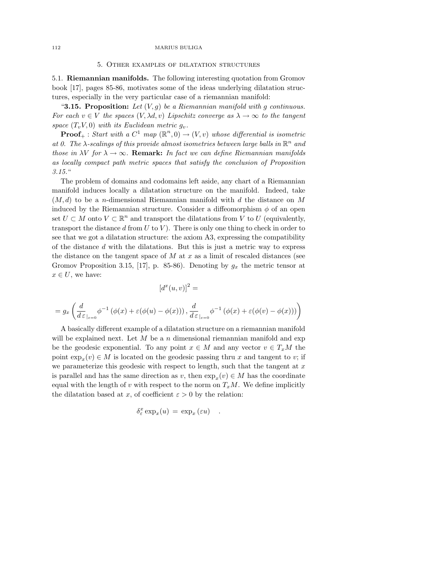### 5. Other examples of dilatation structures

5.1. Riemannian manifolds. The following interesting quotation from Gromov book [17], pages 85-86, motivates some of the ideas underlying dilatation structures, especially in the very particular case of a riemannian manifold:

"3.15. Proposition: Let  $(V, g)$  be a Riemannian manifold with g continuous. For each  $v \in V$  the spaces  $(V, \lambda d, v)$  Lipschitz converge as  $\lambda \to \infty$  to the tangent space  $(T_vV, 0)$  with its Euclidean metric  $g_v$ .

**Proof**<sub>+</sub>: Start with a  $C^1$  map  $(\mathbb{R}^n, 0) \rightarrow (V, v)$  whose differential is isometric at 0. The  $\lambda$ -scalings of this provide almost isometries between large balls in  $\mathbb{R}^n$  and those in  $\lambda V$  for  $\lambda \to \infty$ . Remark: In fact we can define Riemannian manifolds as locally compact path metric spaces that satisfy the conclusion of Proposition 3.15."

The problem of domains and codomains left aside, any chart of a Riemannian manifold induces locally a dilatation structure on the manifold. Indeed, take  $(M, d)$  to be a *n*-dimensional Riemannian manifold with d the distance on M induced by the Riemannian structure. Consider a diffeomorphism  $\phi$  of an open set  $U \subset M$  onto  $V \subset \mathbb{R}^n$  and transport the dilatations from V to U (equivalently, transport the distance  $d$  from  $U$  to  $V$ ). There is only one thing to check in order to see that we got a dilatation structure: the axiom A3, expressing the compatibility of the distance d with the dilatations. But this is just a metric way to express the distance on the tangent space of  $M$  at  $x$  as a limit of rescaled distances (see Gromov Proposition 3.15, [17], p. 85-86). Denoting by  $g_x$  the metric tensor at  $x \in U$ , we have:

$$
[d^x(u,v)]^2 =
$$

$$
= g_x\left(\frac{d}{d\,\varepsilon\,_{\vert\varepsilon=0}}\phi^{-1}\left(\phi(x)+\varepsilon(\phi(u)-\phi(x))\right), \frac{d}{d\,\varepsilon\,_{\vert\varepsilon=0}}\phi^{-1}\left(\phi(x)+\varepsilon(\phi(v)-\phi(x))\right)\right)
$$

A basically different example of a dilatation structure on a riemannian manifold will be explained next. Let  $M$  be a n dimensional riemannian manifold and exp be the geodesic exponential. To any point  $x \in M$  and any vector  $v \in T_xM$  the point  $\exp_x(v) \in M$  is located on the geodesic passing thru x and tangent to v; if we parameterize this geodesic with respect to length, such that the tangent at  $x$ is parallel and has the same direction as v, then  $\exp_x(v) \in M$  has the coordinate equal with the length of v with respect to the norm on  $T_xM$ . We define implicitly the dilatation based at x, of coefficient  $\varepsilon > 0$  by the relation:

$$
\delta^x_\varepsilon \exp_x(u)\,=\, \exp_x\,(\varepsilon u)\quad.
$$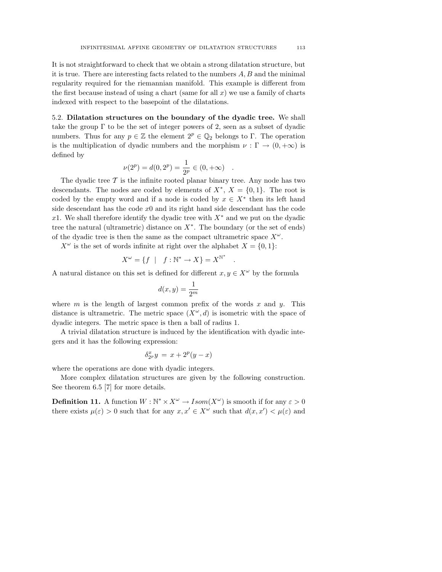It is not straightforward to check that we obtain a strong dilatation structure, but it is true. There are interesting facts related to the numbers A, B and the minimal regularity required for the riemannian manifold. This example is different from the first because instead of using a chart (same for all  $x$ ) we use a family of charts indexed with respect to the basepoint of the dilatations.

5.2. Dilatation structures on the boundary of the dyadic tree. We shall take the group  $\Gamma$  to be the set of integer powers of 2, seen as a subset of dyadic numbers. Thus for any  $p \in \mathbb{Z}$  the element  $2^p \in \mathbb{Q}_2$  belongs to Γ. The operation is the multiplication of dyadic numbers and the morphism  $\nu : \Gamma \to (0, +\infty)$  is defined by

$$
\nu(2^p) = d(0, 2^p) = \frac{1}{2^p} \in (0, +\infty) .
$$

The dyadic tree  $\mathcal T$  is the infinite rooted planar binary tree. Any node has two descendants. The nodes are coded by elements of  $X^*$ ,  $X = \{0, 1\}$ . The root is coded by the empty word and if a node is coded by  $x \in X^*$  then its left hand side descendant has the code  $x_0$  and its right hand side descendant has the code x1. We shall therefore identify the dyadic tree with  $X^*$  and we put on the dyadic tree the natural (ultrametric) distance on  $X^*$ . The boundary (or the set of ends) of the dyadic tree is then the same as the compact ultrametric space  $X^{\omega}$ .

 $X^{\omega}$  is the set of words infinite at right over the alphabet  $X = \{0, 1\}$ :

$$
X^{\omega} = \{ f \mid f : \mathbb{N}^* \to X \} = X^{\mathbb{N}^*}
$$

.

A natural distance on this set is defined for different  $x, y \in X^{\omega}$  by the formula

$$
d(x,y) = \frac{1}{2^m}
$$

where m is the length of largest common prefix of the words x and y. This distance is ultrametric. The metric space  $(X^{\omega}, d)$  is isometric with the space of dyadic integers. The metric space is then a ball of radius 1.

A trivial dilatation structure is induced by the identification with dyadic integers and it has the following expression:

$$
\delta_{2^p}^x y = x + 2^p (y - x)
$$

where the operations are done with dyadic integers.

More complex dilatation structures are given by the following construction. See theorem 6.5 [7] for more details.

**Definition 11.** A function  $W : \mathbb{N}^* \times X^{\omega} \to Isom(X^{\omega})$  is smooth if for any  $\varepsilon > 0$ there exists  $\mu(\varepsilon) > 0$  such that for any  $x, x' \in X^{\omega}$  such that  $d(x, x') < \mu(\varepsilon)$  and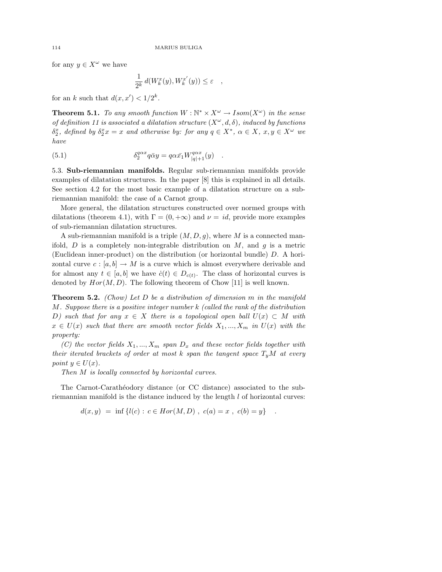for any  $y \in X^{\omega}$  we have

$$
\frac{1}{2^k} d(W_k^x(y), W_k^{x'}(y)) \le \varepsilon \quad ,
$$

for an k such that  $d(x, x') < 1/2^k$ .

**Theorem 5.1.** To any smooth function  $W : \mathbb{N}^* \times X^{\omega} \to Isom(X^{\omega})$  in the sense of definition 11 is associated a dilatation structure  $(X^{\omega}, d, \delta)$ , induced by functions  $\delta_2^x$ , defined by  $\delta_2^x x = x$  and otherwise by: for any  $q \in X^*$ ,  $\alpha \in X$ ,  $x, y \in X^{\omega}$  we have

(5.1) 
$$
\delta_2^{q\alpha x} q \bar{\alpha} y = q\alpha \bar{x_1} W_{|q|+1}^{q\alpha x}(y)
$$

5.3. Sub-riemannian manifolds. Regular sub-riemannian manifolds provide examples of dilatation structures. In the paper [8] this is explained in all details. See section 4.2 for the most basic example of a dilatation structure on a subriemannian manifold: the case of a Carnot group.

More general, the dilatation structures constructed over normed groups with dilatations (theorem 4.1), with  $\Gamma = (0, +\infty)$  and  $\nu = id$ , provide more examples of sub-riemannian dilatation structures.

A sub-riemannian manifold is a triple  $(M, D, q)$ , where M is a connected manifold,  $D$  is a completely non-integrable distribution on  $M$ , and  $g$  is a metric (Euclidean inner-product) on the distribution (or horizontal bundle) D. A horizontal curve  $c : [a, b] \to M$  is a curve which is almost everywhere derivable and for almost any  $t \in [a, b]$  we have  $\dot{c}(t) \in D_{c(t)}$ . The class of horizontal curves is denoted by  $Hor(M, D)$ . The following theorem of Chow [11] is well known.

**Theorem 5.2.** (Chow) Let D be a distribution of dimension  $m$  in the manifold M. Suppose there is a positive integer number k (called the rank of the distribution D) such that for any  $x \in X$  there is a topological open ball  $U(x) \subset M$  with  $x \in U(x)$  such that there are smooth vector fields  $X_1, ..., X_m$  in  $U(x)$  with the property:

(C) the vector fields  $X_1, ..., X_m$  span  $D_x$  and these vector fields together with their iterated brackets of order at most k span the tangent space  $T_uM$  at every point  $y \in U(x)$ .

Then M is locally connected by horizontal curves.

The Carnot-Carathéodory distance (or CC distance) associated to the subriemannian manifold is the distance induced by the length  $l$  of horizontal curves:

$$
d(x, y) = \inf \{ l(c) : c \in Hor(M, D) , c(a) = x , c(b) = y \} .
$$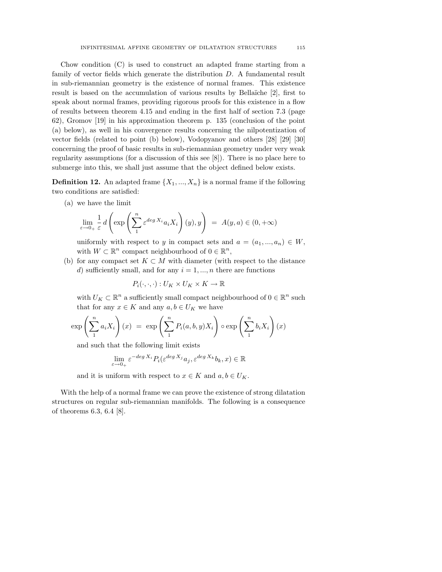Chow condition (C) is used to construct an adapted frame starting from a family of vector fields which generate the distribution D. A fundamental result in sub-riemannian geometry is the existence of normal frames. This existence result is based on the accumulation of various results by Bellaïche [2], first to speak about normal frames, providing rigorous proofs for this existence in a flow of results between theorem 4.15 and ending in the first half of section 7.3 (page 62), Gromov [19] in his approximation theorem p. 135 (conclusion of the point (a) below), as well in his convergence results concerning the nilpotentization of vector fields (related to point (b) below), Vodopyanov and others [28] [29] [30] concerning the proof of basic results in sub-riemannian geometry under very weak regularity assumptions (for a discussion of this see [8]). There is no place here to submerge into this, we shall just assume that the object defined below exists.

**Definition 12.** An adapted frame  $\{X_1, ..., X_n\}$  is a normal frame if the following two conditions are satisfied:

(a) we have the limit

$$
\lim_{\varepsilon \to 0+} \frac{1}{\varepsilon} d\left(\exp\left(\sum_{1}^{n} \varepsilon^{deg X_i} a_i X_i\right)(y), y\right) = A(y, a) \in (0, +\infty)
$$

uniformly with respect to y in compact sets and  $a = (a_1, ..., a_n) \in W$ , with  $W \subset \mathbb{R}^n$  compact neighbourhood of  $0 \in \mathbb{R}^n$ ,

(b) for any compact set  $K \subset M$  with diameter (with respect to the distance d) sufficiently small, and for any  $i = 1, ..., n$  there are functions

$$
P_i(\cdot,\cdot,\cdot):U_K\times U_K\times K\to\mathbb{R}
$$

with  $U_K \subset \mathbb{R}^n$  a sufficiently small compact neighbourhood of  $0 \in \mathbb{R}^n$  such that for any  $x \in K$  and any  $a, b \in U_K$  we have

$$
\exp\left(\sum_{1}^{n} a_{i} X_{i}\right)(x) = \exp\left(\sum_{1}^{n} P_{i}(a, b, y) X_{i}\right) \circ \exp\left(\sum_{1}^{n} b_{i} X_{i}\right)(x)
$$

and such that the following limit exists

$$
\lim_{\varepsilon \to 0+} \varepsilon^{-\deg X_i} P_i(\varepsilon^{\deg X_j} a_j, \varepsilon^{\deg X_k} b_k, x) \in \mathbb{R}
$$

and it is uniform with respect to  $x \in K$  and  $a, b \in U_K$ .

With the help of a normal frame we can prove the existence of strong dilatation structures on regular sub-riemannian manifolds. The following is a consequence of theorems 6.3, 6.4 [8].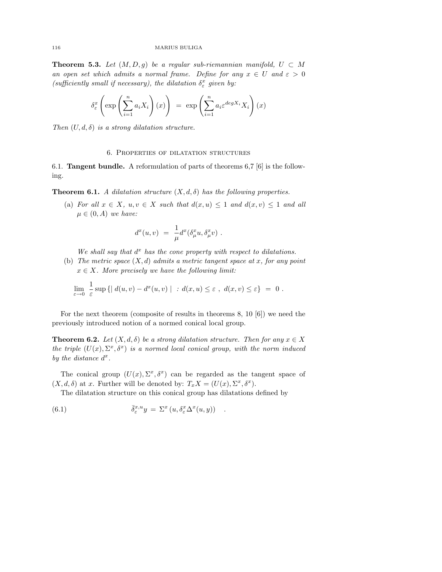**Theorem 5.3.** Let  $(M, D, g)$  be a regular sub-riemannian manifold,  $U \subset M$ an open set which admits a normal frame. Define for any  $x \in U$  and  $\varepsilon > 0$ (sufficiently small if necessary), the dilatation  $\delta_{\varepsilon}^{x}$  given by:

$$
\delta_{\varepsilon}^{x} \left( \exp \left( \sum_{i=1}^{n} a_{i} X_{i} \right) (x) \right) = \exp \left( \sum_{i=1}^{n} a_{i} \varepsilon^{deg X_{i}} X_{i} \right) (x)
$$

Then  $(U, d, \delta)$  is a strong dilatation structure.

### 6. Properties of dilatation structures

6.1. Tangent bundle. A reformulation of parts of theorems 6,7 [6] is the following.

**Theorem 6.1.** A dilatation structure  $(X, d, \delta)$  has the following properties.

(a) For all  $x \in X$ ,  $u, v \in X$  such that  $d(x, u) \leq 1$  and  $d(x, v) \leq 1$  and all  $\mu \in (0, A)$  we have:

$$
d^x(u,v) = \frac{1}{\mu} d^x(\delta^x_\mu u, \delta^x_\mu v) .
$$

We shall say that  $d^x$  has the cone property with respect to dilatations.

(b) The metric space  $(X, d)$  admits a metric tangent space at x, for any point  $x \in X$ . More precisely we have the following limit:

$$
\lim_{\varepsilon \to 0} \frac{1}{\varepsilon} \sup \left\{ \left| d(u, v) - d^x(u, v) \right| \ : d(x, u) \le \varepsilon \ , \ d(x, v) \le \varepsilon \right\} \ = \ 0 \ .
$$

For the next theorem (composite of results in theorems 8, 10 [6]) we need the previously introduced notion of a normed conical local group.

**Theorem 6.2.** Let  $(X, d, \delta)$  be a strong dilatation structure. Then for any  $x \in X$ the triple  $(U(x), \Sigma^x, \delta^x)$  is a normed local conical group, with the norm induced by the distance  $d^x$ .

The conical group  $(U(x), \Sigma^x, \delta^x)$  can be regarded as the tangent space of  $(X, d, \delta)$  at x. Further will be denoted by:  $T_x X = (U(x), \Sigma^x, \delta^x)$ .

The dilatation structure on this conical group has dilatations defined by

(6.1) 
$$
\bar{\delta}^{x,u}_{\varepsilon}y = \Sigma^{x}(u, \delta^{x}_{\varepsilon} \Delta^{x}(u, y)) .
$$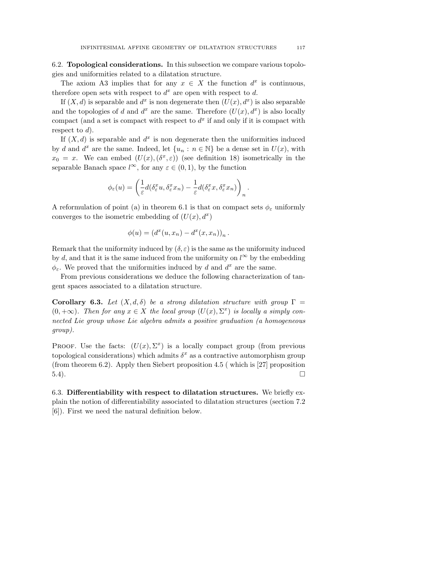6.2. Topological considerations. In this subsection we compare various topologies and uniformities related to a dilatation structure.

The axiom A3 implies that for any  $x \in X$  the function  $d^x$  is continuous, therefore open sets with respect to  $d^x$  are open with respect to d.

If  $(X, d)$  is separable and  $d^x$  is non degenerate then  $(U(x), d^x)$  is also separable and the topologies of d and  $d^x$  are the same. Therefore  $(U(x), d^x)$  is also locally compact (and a set is compact with respect to  $d^x$  if and only if it is compact with respect to  $d$ ).

If  $(X, d)$  is separable and  $d^x$  is non degenerate then the uniformities induced by d and  $d^x$  are the same. Indeed, let  $\{u_n : n \in \mathbb{N}\}\)$  be a dense set in  $U(x)$ , with  $x_0 = x$ . We can embed  $(U(x), (\delta^x, \varepsilon))$  (see definition 18) isometrically in the separable Banach space  $l^{\infty}$ , for any  $\varepsilon \in (0,1)$ , by the function

$$
\phi_{\varepsilon}(u) = \left(\frac{1}{\varepsilon}d(\delta_{\varepsilon}^x u, \delta_{\varepsilon}^x x_n) - \frac{1}{\varepsilon}d(\delta_{\varepsilon}^x x, \delta_{\varepsilon}^x x_n)\right)_n.
$$

A reformulation of point (a) in theorem 6.1 is that on compact sets  $\phi_{\varepsilon}$  uniformly converges to the isometric embedding of  $(U(x), d^x)$ 

$$
\phi(u) = (d^x(u,x_n) - d^x(x,x_n))_n
$$

.

Remark that the uniformity induced by  $(\delta, \varepsilon)$  is the same as the uniformity induced by d, and that it is the same induced from the uniformity on  $l^{\infty}$  by the embedding  $\phi_{\varepsilon}$ . We proved that the uniformities induced by d and  $d^x$  are the same.

From previous considerations we deduce the following characterization of tangent spaces associated to a dilatation structure.

Corollary 6.3. Let  $(X, d, \delta)$  be a strong dilatation structure with group  $\Gamma =$  $(0, +\infty)$ . Then for any  $x \in X$  the local group  $(U(x), \Sigma^x)$  is locally a simply connected Lie group whose Lie algebra admits a positive graduation (a homogeneous group).

PROOF. Use the facts:  $(U(x), \Sigma^x)$  is a locally compact group (from previous topological considerations) which admits  $\delta^x$  as a contractive automorphism group (from theorem 6.2). Apply then Siebert proposition 4.5 ( which is [27] proposition  $5.4$ ).

6.3. Differentiability with respect to dilatation structures. We briefly explain the notion of differentiability associated to dilatation structures (section 7.2 [6]). First we need the natural definition below.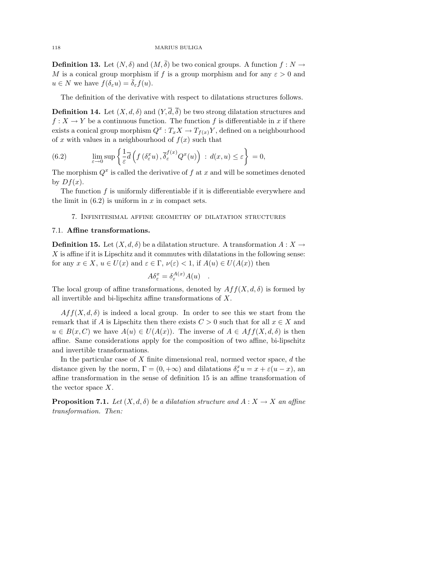**Definition 13.** Let  $(N, \delta)$  and  $(M, \overline{\delta})$  be two conical groups. A function  $f : N \to$ M is a conical group morphism if f is a group morphism and for any  $\varepsilon > 0$  and  $u \in N$  we have  $f(\delta_{\varepsilon} u) = \overline{\delta}_{\varepsilon} f(u)$ .

The definition of the derivative with respect to dilatations structures follows.

**Definition 14.** Let  $(X, d, \delta)$  and  $(Y, \overline{d}, \overline{\delta})$  be two strong dilatation structures and  $f: X \to Y$  be a continuous function. The function f is differentiable in x if there exists a conical group morphism  $Q^x: T_xX \to T_{f(x)}Y$ , defined on a neighbourhood of x with values in a neighbourhood of  $f(x)$  such that

(6.2) 
$$
\lim_{\varepsilon \to 0} \sup \left\{ \frac{1}{\varepsilon} \overline{d} \left( f \left( \delta^x_{\varepsilon} u \right), \overline{\delta}^{f(x)}_{\varepsilon} Q^x(u) \right) : d(x, u) \le \varepsilon \right\} = 0,
$$

The morphism  $Q^x$  is called the derivative of f at x and will be sometimes denoted by  $Df(x)$ .

The function  $f$  is uniformly differentiable if it is differentiable everywhere and the limit in  $(6.2)$  is uniform in x in compact sets.

7. Infinitesimal affine geometry of dilatation structures

### 7.1. Affine transformations.

**Definition 15.** Let  $(X, d, \delta)$  be a dilatation structure. A transformation  $A: X \to$  $X$  is affine if it is Lipschitz and it commutes with dilatations in the following sense: for any  $x \in X$ ,  $u \in U(x)$  and  $\varepsilon \in \Gamma$ ,  $\nu(\varepsilon) < 1$ , if  $A(u) \in U(A(x))$  then

$$
A\delta^x_{\varepsilon} = \delta^{A(x)}_{\varepsilon} A(u) .
$$

The local group of affine transformations, denoted by  $Aff(X, d, \delta)$  is formed by all invertible and bi-lipschitz affine transformations of X.

 $Aff(X, d, \delta)$  is indeed a local group. In order to see this we start from the remark that if A is Lipschitz then there exists  $C > 0$  such that for all  $x \in X$  and  $u \in B(x, C)$  we have  $A(u) \in U(A(x))$ . The inverse of  $A \in Aff(X, d, \delta)$  is then affine. Same considerations apply for the composition of two affine, bi-lipschitz and invertible transformations.

In the particular case of  $X$  finite dimensional real, normed vector space,  $d$  the distance given by the norm,  $\Gamma = (0, +\infty)$  and dilatations  $\delta^x_\varepsilon u = x + \varepsilon (u - x)$ , an affine transformation in the sense of definition 15 is an affine transformation of the vector space  $X$ .

**Proposition 7.1.** Let  $(X, d, \delta)$  be a dilatation structure and  $A: X \to X$  an affine transformation. Then: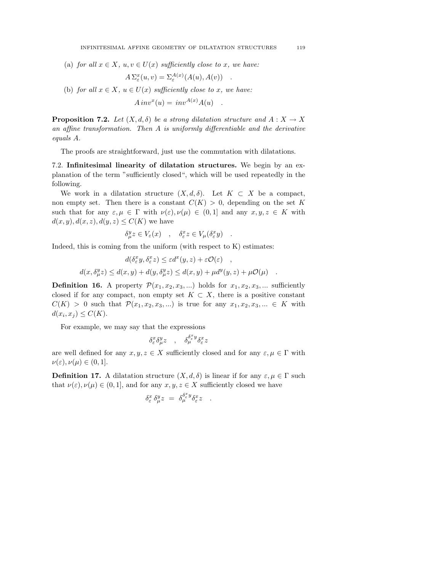(a) for all  $x \in X$ ,  $u, v \in U(x)$  sufficiently close to x, we have:

$$
A \Sigma_{\varepsilon}^{x}(u,v) = \Sigma_{\varepsilon}^{A(x)}(A(u), A(v)) .
$$

(b) for all  $x \in X$ ,  $u \in U(x)$  sufficiently close to x, we have:

$$
A\,inv^x(u) = inv^{A(x)}A(u) .
$$

**Proposition 7.2.** Let  $(X, d, \delta)$  be a strong dilatation structure and  $A: X \to X$ an affine transformation. Then A is uniformly differentiable and the derivative equals A.

The proofs are straightforward, just use the commutation with dilatations.

7.2. Infinitesimal linearity of dilatation structures. We begin by an explanation of the term "sufficiently closed", which will be used repeatedly in the following.

We work in a dilatation structure  $(X, d, \delta)$ . Let  $K \subset X$  be a compact, non empty set. Then there is a constant  $C(K) > 0$ , depending on the set K such that for any  $\varepsilon, \mu \in \Gamma$  with  $\nu(\varepsilon), \nu(\mu) \in (0,1]$  and any  $x, y, z \in K$  with  $d(x, y), d(x, z), d(y, z) \leq C(K)$  we have

$$
\delta^y_\mu z \in V_\varepsilon(x) \quad , \quad \delta^x_\varepsilon z \in V_\mu(\delta^x_\varepsilon y) \quad .
$$

Indeed, this is coming from the uniform (with respect to K) estimates:

$$
d(\delta_{\varepsilon}^{x} y, \delta_{\varepsilon}^{x} z) \leq \varepsilon d^{x}(y, z) + \varepsilon \mathcal{O}(\varepsilon) ,
$$
  

$$
d(x, \delta_{\mu}^{y} z) \leq d(x, y) + d(y, \delta_{\mu}^{y} z) \leq d(x, y) + \mu d^{y}(y, z) + \mu \mathcal{O}(\mu) .
$$

**Definition 16.** A property  $\mathcal{P}(x_1, x_2, x_3, ...)$  holds for  $x_1, x_2, x_3, ...$  sufficiently closed if for any compact, non empty set  $K \subset X$ , there is a positive constant  $C(K) > 0$  such that  $\mathcal{P}(x_1, x_2, x_3, ...)$  is true for any  $x_1, x_2, x_3, ... \in K$  with  $d(x_i, x_j) \leq C(K)$ .

For example, we may say that the expressions

$$
\delta^x_\varepsilon \delta^y_\mu z \quad , \quad \delta^{\delta^x_\varepsilon y}_\mu \delta^x_\varepsilon z
$$

are well defined for any  $x, y, z \in X$  sufficiently closed and for any  $\varepsilon, \mu \in \Gamma$  with  $\nu(\varepsilon), \nu(\mu) \in (0,1].$ 

**Definition 17.** A dilatation structure  $(X, d, \delta)$  is linear if for any  $\varepsilon, \mu \in \Gamma$  such that  $\nu(\varepsilon), \nu(\mu) \in (0, 1]$ , and for any  $x, y, z \in X$  sufficiently closed we have

$$
\delta^x_\varepsilon\,\delta^y_\mu z\ =\ \delta^{\delta^x_\varepsilon y}_\mu\delta^x_\varepsilon z\quad .
$$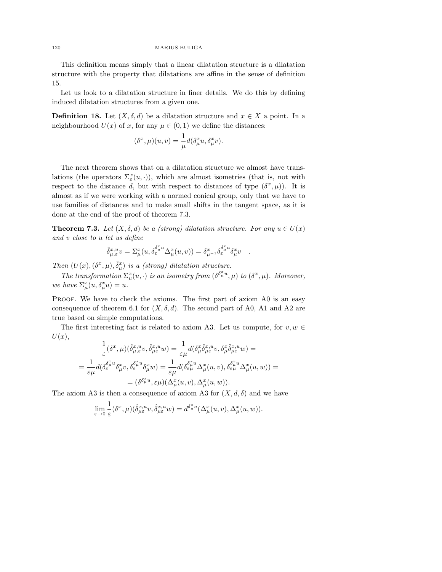This definition means simply that a linear dilatation structure is a dilatation structure with the property that dilatations are affine in the sense of definition 15.

Let us look to a dilatation structure in finer details. We do this by defining induced dilatation structures from a given one.

**Definition 18.** Let  $(X, \delta, d)$  be a dilatation structure and  $x \in X$  a point. In a neighbourhood  $U(x)$  of x, for any  $\mu \in (0,1)$  we define the distances:

$$
(\delta^x, \mu)(u, v) = \frac{1}{\mu} d(\delta^x_\mu u, \delta^x_\mu v).
$$

The next theorem shows that on a dilatation structure we almost have translations (the operators  $\Sigma_{\varepsilon}^x(u, \cdot)$ ), which are almost isometries (that is, not with respect to the distance d, but with respect to distances of type  $(\delta^x, \mu)$ . It is almost as if we were working with a normed conical group, only that we have to use families of distances and to make small shifts in the tangent space, as it is done at the end of the proof of theorem 7.3.

**Theorem 7.3.** Let  $(X, \delta, d)$  be a (strong) dilatation structure. For any  $u \in U(x)$ and v close to u let us define

$$
\hat{\delta}^{x,u}_{\mu,\varepsilon}v = \Sigma^x_\mu(u,\delta^{\delta^x_\mu u}_\varepsilon \Delta^x_\mu(u,v)) = \delta^x_{\mu^{-1}} \delta^{\delta^x_\mu u}_\varepsilon \delta^x_\mu v \quad .
$$

Then  $(U(x), (\delta^x, \mu), \hat{\delta}^x_\mu)$  is a (strong) dilatation structure.

The transformation  $\Sigma^x_\mu(u, \cdot)$  is an isometry from  $(\delta^{\delta^x_\mu u}, \mu)$  to  $(\delta^x, \mu)$ . Moreover, we have  $\Sigma_{\mu}^{x}(u, \delta_{\mu}^{x}u) = u.$ 

PROOF. We have to check the axioms. The first part of axiom A0 is an easy consequence of theorem 6.1 for  $(X, \delta, d)$ . The second part of A0, A1 and A2 are true based on simple computations.

The first interesting fact is related to axiom A3. Let us compute, for  $v, w \in$  $U(x),$ 

$$
\frac{1}{\varepsilon}(\delta^x,\mu)(\hat{\delta}^{x,u}_{\mu,\varepsilon}v,\hat{\delta}^{x,u}_{\mu\varepsilon}w) = \frac{1}{\varepsilon\mu}d(\delta^x_\mu\hat{\delta}^{x,u}_{\mu\varepsilon}v,\delta^{x}_{\mu}\hat{\delta}^{x,u}_{\mu\varepsilon}w) =
$$
\n
$$
= \frac{1}{\varepsilon\mu}d(\delta^{\delta^{\bar{x}}_{{\mu}}u}_{\varepsilon}\delta^x_{\mu}v,\delta^{\delta^x_{{\mu}}u}_{\varepsilon}\delta^x_{\mu}w) = \frac{1}{\varepsilon\mu}d(\delta^{\delta^{\bar{x}}_{{\mu}}u}_{\varepsilon}\Delta^x_{\mu}(u,v),\delta^{\delta^x_{{\mu}}u}_{\varepsilon\mu}\Delta^x_{\mu}(u,w)) =
$$
\n
$$
= (\delta^{\delta^x_{{\mu}}u},\varepsilon\mu)(\Delta^x_{\mu}(u,v),\Delta^x_{\mu}(u,w)).
$$

The axiom A3 is then a consequence of axiom A3 for  $(X, d, \delta)$  and we have

$$
\lim_{\varepsilon \to 0} \frac{1}{\varepsilon} (\delta^x, \mu) (\hat{\delta}^{x,u}_{\mu\varepsilon} v, \hat{\delta}^{x,u}_{\mu\varepsilon} w) = d^{\delta^x_\mu u} (\Delta^x_\mu(u, v), \Delta^x_\mu(u, w)).
$$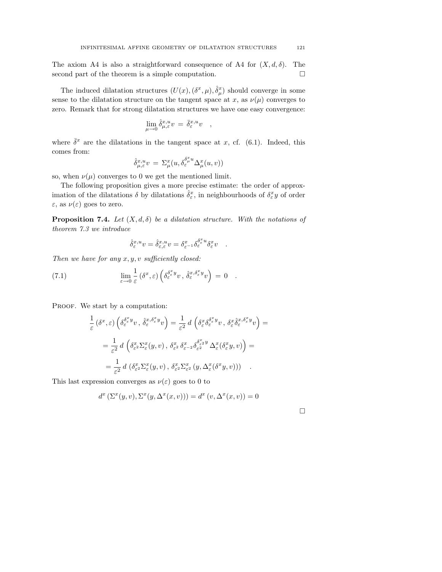The axiom A4 is also a straightforward consequence of A4 for  $(X, d, \delta)$ . The second part of the theorem is a simple computation.  $\square$ 

The induced dilatation structures  $(U(x), (\delta^x, \mu), \hat{\delta}^x_\mu)$  should converge in some sense to the dilatation structure on the tangent space at x, as  $\nu(\mu)$  converges to zero. Remark that for strong dilatation structures we have one easy convergence:

$$
\lim_{\mu\to 0}\hat{\delta}^{x,u}_{\mu,\varepsilon}v\,=\,\bar{\delta}^{x,u}_{\varepsilon}v\quad,\quad
$$

where  $\bar{\delta}^x$  are the dilatations in the tangent space at x, cf. (6.1). Indeed, this comes from:

$$
\hat{\delta}^{x,u}_{\mu,\varepsilon}v\ =\ \Sigma^x_\mu(u,\delta^{\delta^x_\mu u}_\varepsilon \Delta^x_\mu(u,v))
$$

so, when  $\nu(\mu)$  converges to 0 we get the mentioned limit.

The following proposition gives a more precise estimate: the order of approximation of the dilatations  $\hat{\delta}$  by dilatations  $\hat{\delta}^x_{\varepsilon}$ , in neighbourhoods of  $\delta^x_{\varepsilon} y$  of order  $\varepsilon$ , as  $\nu(\varepsilon)$  goes to zero.

**Proposition 7.4.** Let  $(X, d, \delta)$  be a dilatation structure. With the notations of theorem 7.3 we introduce

$$
\hat{\delta}^{x,u}_{\varepsilon}v = \hat{\delta}^{x,u}_{\varepsilon,\varepsilon}v = \delta^x_{\varepsilon^{-1}} \delta^{\delta^x_{\varepsilon}u}_{\varepsilon} \delta^x_{\varepsilon}v \quad .
$$

Then we have for any  $x, y, v$  sufficiently closed:

(7.1) 
$$
\lim_{\varepsilon \to 0} \frac{1}{\varepsilon} \left( \delta^x, \varepsilon \right) \left( \delta^{\delta^x \varepsilon \mathcal{Y}}_{\varepsilon} v, \, \hat{\delta}^{x, \delta^x \varepsilon \mathcal{Y}}_{\varepsilon} v \right) = 0 \quad .
$$

PROOF. We start by a computation:

$$
\frac{1}{\varepsilon} \left( \delta^x, \varepsilon \right) \left( \delta^{\delta^x \psi}_{\varepsilon} v, \ \hat{\delta}^{x, \delta^x \psi}_{\varepsilon} v \right) = \frac{1}{\varepsilon^2} d \left( \delta^x_{\varepsilon} \delta^{\delta^x \psi}_{\varepsilon} v, \ \delta^x_{\varepsilon} \hat{\delta}^{x, \delta^x \psi}_{\varepsilon} v \right) =
$$
\n
$$
= \frac{1}{\varepsilon^2} d \left( \delta^x_{\varepsilon} \Sigma^x_{\varepsilon} (y, v), \ \delta^x_{\varepsilon^2} \delta^x_{\varepsilon^{-2}} \delta^{\delta^x \psi}_{\varepsilon^2} \Delta^x_{\varepsilon} (\delta^x_{\varepsilon} y, v) \right) =
$$
\n
$$
= \frac{1}{\varepsilon^2} d \left( \delta^x_{\varepsilon^2} \Sigma^x_{\varepsilon} (y, v), \ \delta^x_{\varepsilon^2} \Sigma^x_{\varepsilon^2} (y, \Delta^x_{\varepsilon} (\delta^x y, v)) \right) .
$$

This last expression converges as  $\nu(\varepsilon)$  goes to 0 to

$$
d^x\left(\Sigma^x(y,v),\Sigma^x(y,\Delta^x(x,v))\right)=d^x\left(v,\Delta^x(x,v)\right)=0
$$

 $\Box$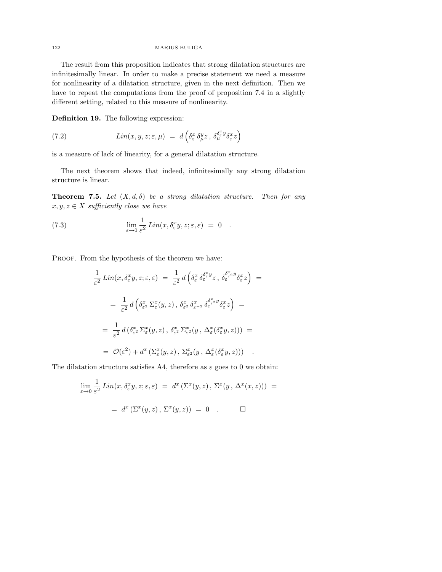The result from this proposition indicates that strong dilatation structures are infinitesimally linear. In order to make a precise statement we need a measure for nonlinearity of a dilatation structure, given in the next definition. Then we have to repeat the computations from the proof of proposition 7.4 in a slightly different setting, related to this measure of nonlinearity.

Definition 19. The following expression:

(7.2) 
$$
Lin(x, y, z; \varepsilon, \mu) = d\left(\delta^x_{\varepsilon} \, \delta^y_{\mu} z \, , \, \delta^{\delta^x_{\varepsilon} y}_{\mu} \delta^x_{\varepsilon} z\right)
$$

is a measure of lack of linearity, for a general dilatation structure.

The next theorem shows that indeed, infinitesimally any strong dilatation structure is linear.

**Theorem 7.5.** Let  $(X, d, \delta)$  be a strong dilatation structure. Then for any  $x, y, z \in X$  sufficiently close we have

(7.3) 
$$
\lim_{\varepsilon \to 0} \frac{1}{\varepsilon^2} Lin(x, \delta_{\varepsilon}^x y, z; \varepsilon, \varepsilon) = 0.
$$

PROOF. From the hypothesis of the theorem we have:

$$
\frac{1}{\varepsilon^2} \operatorname{Lin}(x, \delta_{\varepsilon}^x y, z; \varepsilon, \varepsilon) = \frac{1}{\varepsilon^2} d\left(\delta_{\varepsilon}^x \delta_{\varepsilon}^{\delta_{\varepsilon}^x y} z, \delta_{\varepsilon}^{\delta_{\varepsilon}^x y} \delta_{\varepsilon}^x z\right) =
$$
\n
$$
= \frac{1}{\varepsilon^2} d\left(\delta_{\varepsilon^2}^x \Sigma_{\varepsilon}^x (y, z), \delta_{\varepsilon^2}^x \delta_{\varepsilon^{-2}}^x \delta_{\varepsilon}^{\delta_{\varepsilon^2}^x y} \delta_{\varepsilon}^x z\right) =
$$
\n
$$
= \frac{1}{\varepsilon^2} d\left(\delta_{\varepsilon^2}^x \Sigma_{\varepsilon}^x (y, z), \delta_{\varepsilon^2}^x \Sigma_{\varepsilon^2}^x (y, \Delta_{\varepsilon}^x (\delta_{\varepsilon}^x y, z))\right) =
$$
\n
$$
= \mathcal{O}(\varepsilon^2) + d^x \left(\Sigma_{\varepsilon}^x (y, z), \Sigma_{\varepsilon^2}^x (y, \Delta_{\varepsilon}^x (\delta_{\varepsilon}^x y, z))\right) .
$$

The dilatation structure satisfies A4, therefore as  $\varepsilon$  goes to 0 we obtain:

$$
\lim_{\varepsilon \to 0} \frac{1}{\varepsilon^2} \operatorname{Lin}(x, \delta^x_{\varepsilon} y, z; \varepsilon, \varepsilon) = d^x \left( \Sigma^x(y, z), \Sigma^x(y, \Delta^x(x, z)) \right) =
$$
  
=  $d^x \left( \Sigma^x(y, z), \Sigma^x(y, z) \right) = 0$ .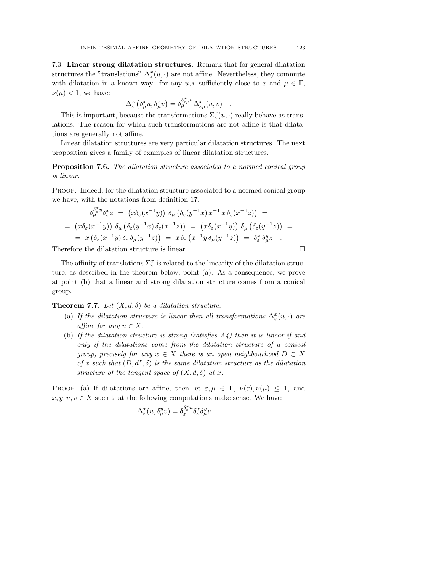7.3. Linear strong dilatation structures. Remark that for general dilatation structures the "translations"  $\Delta_{\varepsilon}^{x}(u, \cdot)$  are not affine. Nevertheless, they commute with dilatation in a known way: for any  $u, v$  sufficiently close to x and  $\mu \in \Gamma$ ,  $\nu(\mu) < 1$ , we have:

$$
\Delta^x_\varepsilon \left( \delta^x_\mu u, \delta^x_\mu v \right) = \delta^{\delta^x_{\varepsilon\mu} u}_{\mu} \Delta^x_{\varepsilon\mu}(u, v) \quad .
$$

This is important, because the transformations  $\Sigma_{\varepsilon}^{x}(u, \cdot)$  really behave as translations. The reason for which such transformations are not affine is that dilatations are generally not affine.

Linear dilatation structures are very particular dilatation structures. The next proposition gives a family of examples of linear dilatation structures.

**Proposition 7.6.** The dilatation structure associated to a normed conical group is linear.

PROOF. Indeed, for the dilatation structure associated to a normed conical group we have, with the notations from definition 17:

$$
\delta_{\mu}^{\delta_{\varepsilon}^{x} y} \delta_{\varepsilon}^{x} z = (x \delta_{\varepsilon}(x^{-1} y)) \delta_{\mu} (\delta_{\varepsilon}(y^{-1} x) x^{-1} x \delta_{\varepsilon}(x^{-1} z)) =
$$
\n
$$
= (x \delta_{\varepsilon}(x^{-1} y)) \delta_{\mu} (\delta_{\varepsilon}(y^{-1} x) \delta_{\varepsilon}(x^{-1} z)) = (x \delta_{\varepsilon}(x^{-1} y)) \delta_{\mu} (\delta_{\varepsilon}(y^{-1} z)) =
$$
\n
$$
= x (\delta_{\varepsilon}(x^{-1} y) \delta_{\varepsilon} \delta_{\mu}(y^{-1} z)) = x \delta_{\varepsilon}(x^{-1} y \delta_{\mu}(y^{-1} z)) = \delta_{\varepsilon}^{x} \delta_{\mu}^{y} z
$$

Therefore the dilatation structure is linear.  $\Box$ 

The affinity of translations  $\Sigma_\varepsilon^x$  is related to the linearity of the dilatation structure, as described in the theorem below, point (a). As a consequence, we prove at point (b) that a linear and strong dilatation structure comes from a conical group.

**Theorem 7.7.** Let  $(X, d, \delta)$  be a dilatation structure.

- (a) If the dilatation structure is linear then all transformations  $\Delta_{\varepsilon}^x(u,\cdot)$  are affine for any  $u \in X$ .
- (b) If the dilatation structure is strong (satisfies  $A_4$ ) then it is linear if and only if the dilatations come from the dilatation structure of a conical group, precisely for any  $x \in X$  there is an open neighbourhood  $D \subset X$ of x such that  $(\overline{D}, d^x, \delta)$  is the same dilatation structure as the dilatation structure of the tangent space of  $(X, d, \delta)$  at x.

PROOF. (a) If dilatations are affine, then let  $\varepsilon, \mu \in \Gamma$ ,  $\nu(\varepsilon), \nu(\mu) \leq 1$ , and  $x, y, u, v \in X$  such that the following computations make sense. We have:

$$
\Delta^x_\varepsilon(u,\delta^y_\mu v)=\delta^{\delta^x_\varepsilon u}_{\varepsilon^{-1}}\delta^x_\varepsilon\delta^y_\mu v\quad.
$$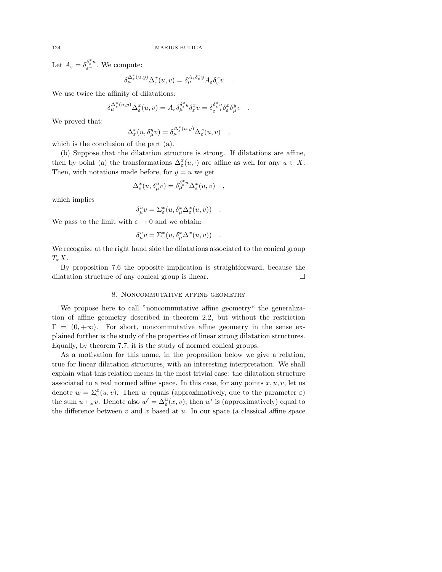Let  $A_{\varepsilon} = \delta_{\varepsilon^{-1}}^{\delta_{\varepsilon}^{x} u}$ . We compute:

$$
\delta_{\mu}^{\Delta_{\varepsilon}^{x}(u,y)} \Delta_{\varepsilon}^{x}(u,v) = \delta_{\mu}^{A_{\varepsilon}\delta_{\varepsilon}^{x}y} A_{\varepsilon}\delta_{\varepsilon}^{x}v \quad .
$$

We use twice the affinity of dilatations:

$$
\delta_{\mu}^{\Delta_{\varepsilon}^{x}(u,y)}\Delta_{\varepsilon}^{x}(u,v)=A_{\varepsilon}\delta_{\mu}^{\delta_{\varepsilon}^{x}y}\delta_{\varepsilon}^{x}v=\delta_{\varepsilon^{-1}}^{\delta_{\varepsilon}^{x}u}\delta_{\varepsilon}^{x}\delta_{\mu}^{y}v.
$$

We proved that:

$$
\Delta^x_{\varepsilon}(u, \delta^y_{\mu}v) = \delta^{\Delta^x_{\varepsilon}(u,y)}_{\mu} \Delta^x_{\varepsilon}(u, v) ,
$$

which is the conclusion of the part (a).

(b) Suppose that the dilatation structure is strong. If dilatations are affine, then by point (a) the transformations  $\Delta_{\varepsilon}^x(u, \cdot)$  are affine as well for any  $u \in X$ . Then, with notations made before, for  $y = u$  we get

$$
\Delta^x_{\varepsilon}(u, \delta^u_\mu v) = \delta^{\delta^x_{\varepsilon} u}_{\mu} \Delta^x_{\varepsilon}(u, v) \quad ,
$$

which implies

$$
\delta^u_\mu v = \Sigma^x_\varepsilon(u, \delta^x_\mu \Delta^x_\varepsilon(u, v)) \quad .
$$

We pass to the limit with  $\varepsilon \to 0$  and we obtain:

$$
\delta^u_\mu v = \Sigma^x(u, \delta^x_\mu \Delta^x(u, v)) \quad .
$$

We recognize at the right hand side the dilatations associated to the conical group  $T_xX$ .

By proposition 7.6 the opposite implication is straightforward, because the dilatation structure of any conical group is linear.

# 8. Noncommutative affine geometry

We propose here to call "noncommutative affine geometry" the generalization of affine geometry described in theorem 2.2, but without the restriction  $\Gamma = (0, +\infty)$ . For short, noncommutative affine geometry in the sense explained further is the study of the properties of linear strong dilatation structures. Equally, by theorem 7.7, it is the study of normed conical groups.

As a motivation for this name, in the proposition below we give a relation, true for linear dilatation structures, with an interesting interpretation. We shall explain what this relation means in the most trivial case: the dilatation structure associated to a real normed affine space. In this case, for any points  $x, u, v$ , let us denote  $w = \sum_{\varepsilon}^x (u, v)$ . Then w equals (approximatively, due to the parameter  $\varepsilon$ ) the sum  $u +_x v$ . Denote also  $w' = \Delta^u_{\varepsilon}(x, v)$ ; then w' is (approximatively) equal to the difference between  $v$  and  $x$  based at  $u$ . In our space (a classical affine space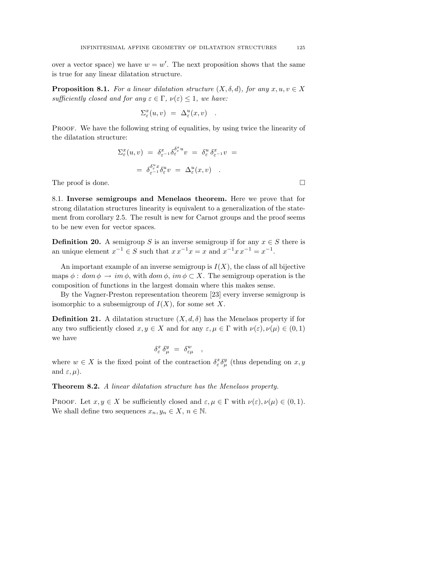over a vector space) we have  $w = w'$ . The next proposition shows that the same is true for any linear dilatation structure.

**Proposition 8.1.** For a linear dilatation structure  $(X, \delta, d)$ , for any  $x, u, v \in X$ sufficiently closed and for any  $\varepsilon \in \Gamma$ ,  $\nu(\varepsilon) \leq 1$ , we have:

$$
\Sigma^x_\varepsilon(u,v) \ = \ \Delta^u_\varepsilon(x,v) \quad .
$$

Proof. We have the following string of equalities, by using twice the linearity of the dilatation structure:

$$
\Sigma_{\varepsilon}^{x}(u,v) = \delta_{\varepsilon^{-1}}^{x} \delta_{\varepsilon}^{\delta_{\varepsilon}^{x}} v = \delta_{\varepsilon}^{u} \delta_{\varepsilon^{-1}}^{x} v =
$$

$$
= \delta_{\varepsilon^{-1}}^{\delta_{\varepsilon}^{u}} \delta_{\varepsilon}^{u} v = \Delta_{\varepsilon}^{u}(x,v) .
$$

The proof is done.  $\Box$ 

8.1. Inverse semigroups and Menelaos theorem. Here we prove that for strong dilatation structures linearity is equivalent to a generalization of the statement from corollary 2.5. The result is new for Carnot groups and the proof seems to be new even for vector spaces.

**Definition 20.** A semigroup S is an inverse semigroup if for any  $x \in S$  there is an unique element  $x^{-1} \in S$  such that  $x x^{-1} x = x$  and  $x^{-1} x x^{-1} = x^{-1}$ .

An important example of an inverse semigroup is  $I(X)$ , the class of all bijective maps  $\phi: dom \phi \to im \phi$ , with  $dom \phi$ ,  $im \phi \subset X$ . The semigroup operation is the composition of functions in the largest domain where this makes sense.

By the Vagner-Preston representation theorem [23] every inverse semigroup is isomorphic to a subsemigroup of  $I(X)$ , for some set X.

**Definition 21.** A dilatation structure  $(X, d, \delta)$  has the Menelaos property if for any two sufficiently closed  $x, y \in X$  and for any  $\varepsilon, \mu \in \Gamma$  with  $\nu(\varepsilon), \nu(\mu) \in (0, 1)$ we have

$$
\delta^x_{\varepsilon} \, \delta^y_{\mu} \,\, = \,\, \delta^w_{\varepsilon \mu} \quad , \quad \,
$$

where  $w \in X$  is the fixed point of the contraction  $\delta^x_{\varepsilon} \delta^y_{\mu}$  (thus depending on  $x, y$ and  $\varepsilon, \mu$ ).

**Theorem 8.2.** A linear dilatation structure has the Menelaos property.

PROOF. Let  $x, y \in X$  be sufficiently closed and  $\varepsilon, \mu \in \Gamma$  with  $\nu(\varepsilon), \nu(\mu) \in (0, 1)$ . We shall define two sequences  $x_n, y_n \in X$ ,  $n \in \mathbb{N}$ .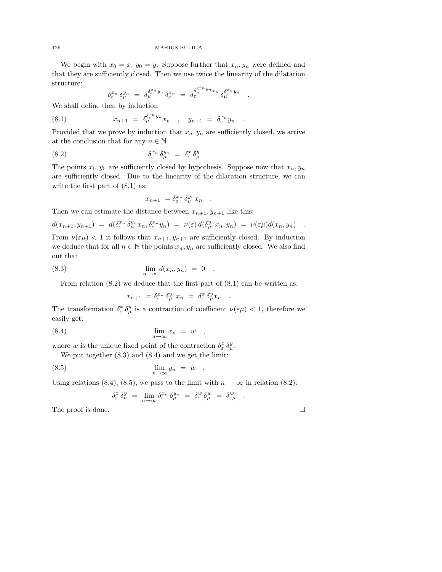We begin with  $x_0 = x$ ,  $y_0 = y$ . Suppose further that  $x_n, y_n$  were defined and that they are sufficiently closed. Then we use twice the linearity of the dilatation structure:

$$
\delta_\varepsilon^{x_n}\, \delta_\mu^{y_n}\ =\ \delta_\mu^{\delta_\varepsilon^{x_n} y_n}\, \delta_\varepsilon^{x_n}\ =\ \delta_\varepsilon^{\delta_\mu^{\delta_\varepsilon^{x_n} y_n} x_n}\, \delta_\mu^{\delta_\varepsilon^{x_n} y_n}\quad .
$$

We shall define then by induction

(8.1) 
$$
x_{n+1} = \delta_{\mu}^{\delta_{\varepsilon}^{x_n} y_n} x_n , \quad y_{n+1} = \delta_{\varepsilon}^{x_n} y_n .
$$

Provided that we prove by induction that  $x_n, y_n$  are sufficiently closed, we arrive at the conclusion that for any  $n \in \mathbb{N}$ 

(8.2) 
$$
\delta_{\varepsilon}^{x_n} \delta_{\mu}^{y_n} = \delta_{\varepsilon}^x \delta_{\mu}^y .
$$

The points  $x_0, y_0$  are sufficiently closed by hypothesis. Suppose now that  $x_n, y_n$ are sufficiently closed. Due to the linearity of the dilatation structure, we can write the first part of  $(8.1)$  as:

$$
x_{n+1} = \delta_{\varepsilon}^{x_n} \, \delta_{\mu}^{y_n} x_n \quad .
$$

Then we can estimate the distance between  $x_{n+1}, y_{n+1}$  like this:

$$
d(x_{n+1}, y_{n+1}) = d(\delta_{\varepsilon}^{x_n} \delta_{\mu}^{y_n} x_n, \delta_{\varepsilon}^{x_n} y_n) = \nu(\varepsilon) d(\delta_{\mu}^{y_n} x_n, y_n) = \nu(\varepsilon \mu) d(x_n, y_n) .
$$

From  $\nu(\varepsilon\mu)$  < 1 it follows that  $x_{n+1}, y_{n+1}$  are sufficiently closed. By induction we deduce that for all  $n \in \mathbb{N}$  the points  $x_n, y_n$  are sufficiently closed. We also find out that

$$
\lim_{n \to \infty} d(x_n, y_n) = 0.
$$

From relation  $(8.2)$  we deduce that the first part of  $(8.1)$  can be written as:

$$
x_{n+1} = \delta_{\varepsilon}^{x_n} \, \delta_{\mu}^{y_n} x_n \ = \ \delta_{\varepsilon}^{x} \, \delta_{\mu}^{y} x_n \quad .
$$

The transformation  $\delta^x_{\varepsilon} \delta^y_{\mu}$  is a contraction of coefficient  $\nu(\varepsilon \mu) < 1$ , therefore we easily get:

$$
\lim_{n \to \infty} x_n = w \quad ,
$$

where w is the unique fixed point of the contraction  $\delta^x_{\varepsilon} \delta^y_{\mu}$ .

We put together (8.3) and (8.4) and we get the limit:

$$
\lim_{n \to \infty} y_n = w
$$

Using relations (8.4), (8.5), we pass to the limit with  $n \to \infty$  in relation (8.2):

$$
\delta^x_\varepsilon \, \delta^y_\mu \ = \ \lim_{n \to \infty} \delta^{x_n}_\varepsilon \, \delta^{y_n}_\mu \ = \ \delta^{w}_\varepsilon \, \delta^w_\mu \ = \ \delta^w_{\varepsilon\mu} \quad .
$$

The proof is done.  $\Box$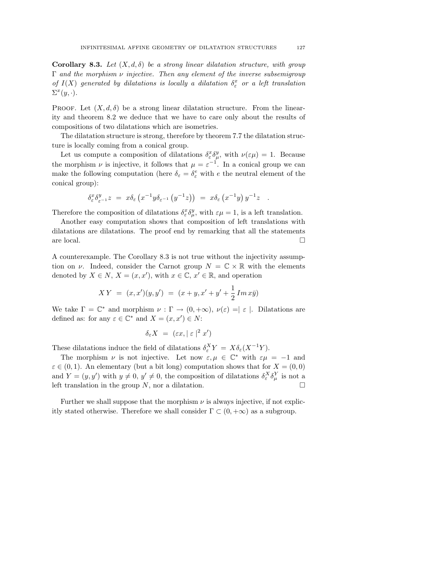Corollary 8.3. Let  $(X, d, \delta)$  be a strong linear dilatation structure, with group  $\Gamma$  and the morphism  $\nu$  injective. Then any element of the inverse subsemigroup of  $I(X)$  generated by dilatations is locally a dilatation  $\delta_{\varepsilon}^x$  or a left translation  $\Sigma^x(y, \cdot).$ 

PROOF. Let  $(X, d, \delta)$  be a strong linear dilatation structure. From the linearity and theorem 8.2 we deduce that we have to care only about the results of compositions of two dilatations which are isometries.

The dilatation structure is strong, therefore by theorem 7.7 the dilatation structure is locally coming from a conical group.

Let us compute a composition of dilatations  $\delta^x_{\epsilon} \delta^y_{\mu}$ , with  $\nu(\epsilon \mu) = 1$ . Because the morphism  $\nu$  is injective, it follows that  $\mu = \varepsilon^{-1}$ . In a conical group we can make the following computation (here  $\delta_{\varepsilon} = \delta_{\varepsilon}^{e}$  with e the neutral element of the conical group):

$$
\delta^x_\varepsilon \delta^y_{\varepsilon^{-1}} z = x \delta_\varepsilon \left( x^{-1} y \delta_{\varepsilon^{-1}} \left( y^{-1} z \right) \right) = x \delta_\varepsilon \left( x^{-1} y \right) y^{-1} z \quad .
$$

Therefore the composition of dilatations  $\delta^x_{\varepsilon} \delta^y_{\mu}$ , with  $\varepsilon \mu = 1$ , is a left translation.

Another easy computation shows that composition of left translations with dilatations are dilatations. The proof end by remarking that all the statements are local.  $\Box$ 

A counterexample. The Corollary 8.3 is not true without the injectivity assumption on  $\nu$ . Indeed, consider the Carnot group  $N = \mathbb{C} \times \mathbb{R}$  with the elements denoted by  $X \in N$ ,  $X = (x, x')$ , with  $x \in \mathbb{C}$ ,  $x' \in \mathbb{R}$ , and operation

$$
XY = (x, x')(y, y') = (x + y, x' + y' + \frac{1}{2}Im x\bar{y})
$$

We take  $\Gamma = \mathbb{C}^*$  and morphism  $\nu : \Gamma \to (0, +\infty), \nu(\varepsilon) = |\varepsilon|$ . Dilatations are defined as: for any  $\varepsilon \in \mathbb{C}^*$  and  $X = (x, x') \in N$ :

$$
\delta_{\varepsilon} X = (\varepsilon x, |\varepsilon|^2 x')
$$

These dilatations induce the field of dilatations  $\delta_{\varepsilon}^{X} Y = X \delta_{\varepsilon} (X^{-1} Y)$ .

The morphism  $\nu$  is not injective. Let now  $\varepsilon, \mu \in \mathbb{C}^*$  with  $\varepsilon \mu = -1$  and  $\varepsilon \in (0,1)$ . An elementary (but a bit long) computation shows that for  $X = (0,0)$ and  $Y = (y, y')$  with  $y \neq 0, y' \neq 0$ , the composition of dilatations  $\delta_{\varepsilon}^{X} \delta_{\mu}^{Y}$  is not a left translation in the group  $N$ , nor a dilatation.

Further we shall suppose that the morphism  $\nu$  is always injective, if not explicitly stated otherwise. Therefore we shall consider  $\Gamma \subset (0, +\infty)$  as a subgroup.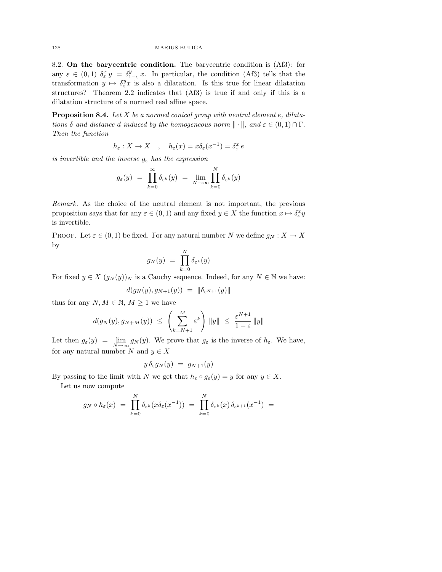8.2. On the barycentric condition. The barycentric condition is (Af3): for any  $\varepsilon \in (0,1)$   $\delta^x_{\varepsilon} y = \delta^y_{1-\varepsilon} x$ . In particular, the condition (Af3) tells that the transformation  $y \mapsto \delta_{\varepsilon}^y x$  is also a dilatation. Is this true for linear dilatation structures? Theorem 2.2 indicates that (Af3) is true if and only if this is a dilatation structure of a normed real affine space.

**Proposition 8.4.** Let  $X$  be a normed conical group with neutral element  $e$ , dilatations  $\delta$  and distance d induced by the homogeneous norm  $\|\cdot\|$ , and  $\varepsilon \in (0,1) \cap \Gamma$ . Then the function

$$
h_{\varepsilon}:X\to X\quad,\quad h_{\varepsilon}(x)=x\delta_{\varepsilon}(x^{-1})=\delta_{\varepsilon}^{x}\,e
$$

is invertible and the inverse  $g_{\varepsilon}$  has the expression

$$
g_{\varepsilon}(y) = \prod_{k=0}^{\infty} \delta_{\varepsilon^k}(y) = \lim_{N \to \infty} \prod_{k=0}^N \delta_{\varepsilon^k}(y)
$$

Remark. As the choice of the neutral element is not important, the previous proposition says that for any  $\varepsilon \in (0,1)$  and any fixed  $y \in X$  the function  $x \mapsto \delta^x_{\varepsilon} y$ is invertible.

PROOF. Let  $\varepsilon \in (0,1)$  be fixed. For any natural number N we define  $g_N : X \to X$ by

$$
g_N(y) \ = \ \prod_{k=0}^N \delta_{\varepsilon^k}(y)
$$

For fixed  $y \in X$   $(g_N(y))_N$  is a Cauchy sequence. Indeed, for any  $N \in \mathbb{N}$  we have:

$$
d(g_N(y), g_{N+1}(y)) = ||\delta_{\varepsilon^{N+1}}(y)||
$$

thus for any  $N, M \in \mathbb{N}, M \geq 1$  we have

$$
d(g_N(y), g_{N+M}(y)) \leq \left(\sum_{k=N+1}^{M} \varepsilon^k\right) \|y\| \leq \frac{\varepsilon^{N+1}}{1-\varepsilon} \|y\|
$$

Let then  $g_{\varepsilon}(y) = \lim_{N \to \infty} g_N(y)$ . We prove that  $g_{\varepsilon}$  is the inverse of  $h_{\varepsilon}$ . We have, for any natural number  $N$  and  $y \in X$ 

$$
y \,\delta_\varepsilon g_N(y) \;=\; g_{N+1}(y)
$$

By passing to the limit with N we get that  $h_{\varepsilon} \circ g_{\varepsilon}(y) = y$  for any  $y \in X$ .

Let us now compute

$$
g_N \circ h_{\varepsilon}(x) = \prod_{k=0}^N \delta_{\varepsilon^k}(x \delta_{\varepsilon}(x^{-1})) = \prod_{k=0}^N \delta_{\varepsilon^k}(x) \delta_{\varepsilon^{k+1}}(x^{-1}) =
$$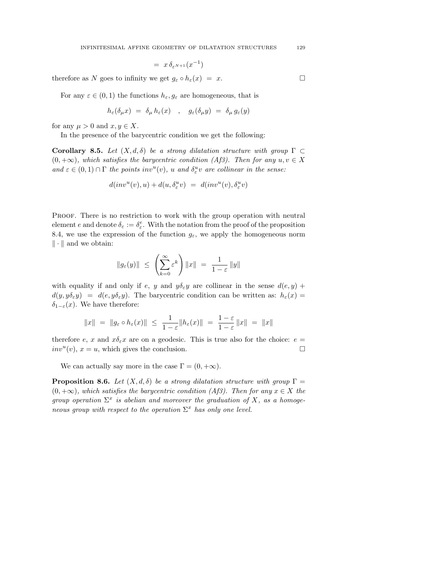$$
= x \, \delta_{\varepsilon^{N+1}}(x^{-1})
$$

therefore as N goes to infinity we get  $g_{\varepsilon} \circ h_{\varepsilon}(x) = x$ .

For any  $\varepsilon \in (0,1)$  the functions  $h_{\varepsilon}, g_{\varepsilon}$  are homogeneous, that is

$$
h_{\varepsilon}(\delta_{\mu}x) = \delta_{\mu}h_{\varepsilon}(x) , \quad g_{\varepsilon}(\delta_{\mu}y) = \delta_{\mu}g_{\varepsilon}(y)
$$

for any  $\mu > 0$  and  $x, y \in X$ .

In the presence of the barycentric condition we get the following:

Corollary 8.5. Let  $(X, d, \delta)$  be a strong dilatation structure with group  $\Gamma \subset$  $(0, +\infty)$ , which satisfies the barycentric condition (Af3). Then for any  $u, v \in X$ and  $\varepsilon \in (0,1) \cap \Gamma$  the points inv<sup>u</sup>(v), u and  $\delta_{\varepsilon}^u$  are collinear in the sense:

$$
d(inv^{u}(v),u) + d(u, \delta_{\varepsilon}^{u}v) = d(inv^{u}(v), \delta_{\varepsilon}^{u}v)
$$

Proof. There is no restriction to work with the group operation with neutral element e and denote  $\delta_{\varepsilon} := \delta_{\varepsilon}^e$ . With the notation from the proof of the proposition 8.4, we use the expression of the function  $g_{\varepsilon}$ , we apply the homogeneous norm  $\|\cdot\|$  and we obtain:

$$
\|g_{\varepsilon}(y)\| \ \leq \ \left(\sum_{k=0}^{\infty} \varepsilon^k\right) \|x\| \ = \ \frac{1}{1-\varepsilon} \, \|y\|
$$

with equality if and only if e, y and  $y\delta_{\varepsilon}y$  are collinear in the sense  $d(e, y)$  +  $d(y, y\delta_{\varepsilon}y) = d(e, y\delta_{\varepsilon}y)$ . The barycentric condition can be written as:  $h_{\varepsilon}(x) =$ δ<sub>1−ε</sub> $(x)$ . We have therefore:

$$
||x|| = ||g_{\varepsilon} \circ h_{\varepsilon}(x)|| \le \frac{1}{1-\varepsilon} ||h_{\varepsilon}(x)|| = \frac{1-\varepsilon}{1-\varepsilon} ||x|| = ||x||
$$

therefore e, x and  $x\delta_\varepsilon x$  are on a geodesic. This is true also for the choice:  $e =$  $inv<sup>u</sup>(v)$ ,  $x = u$ , which gives the conclusion.

We can actually say more in the case  $\Gamma = (0, +\infty)$ .

**Proposition 8.6.** Let  $(X, d, \delta)$  be a strong dilatation structure with group  $\Gamma$  =  $(0, +\infty)$ , which satisfies the barycentric condition (Af3). Then for any  $x \in X$  the group operation  $\Sigma^x$  is abelian and moreover the graduation of X, as a homogeneous group with respect to the operation  $\Sigma^x$  has only one level.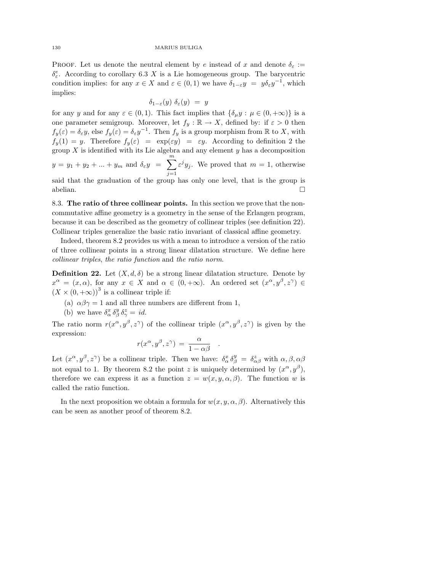PROOF. Let us denote the neutral element by e instead of x and denote  $\delta_{\epsilon}$  :=  $\delta_{\varepsilon}^e$ . According to corollary 6.3 X is a Lie homogeneous group. The barycentric condition implies: for any  $x \in X$  and  $\varepsilon \in (0,1)$  we have  $\delta_{1-\varepsilon}y = y\delta_{\varepsilon}y^{-1}$ , which implies:

$$
\delta_{1-\varepsilon}(y)\,\,\delta_\varepsilon(y)\,\,=\,\,y
$$

for any y and for any  $\varepsilon \in (0,1)$ . This fact implies that  $\{\delta_\mu y : \mu \in (0, +\infty)\}\$ is a one parameter semigroup. Moreover, let  $f_y : \mathbb{R} \to X$ , defined by: if  $\varepsilon > 0$  then  $f_y(\varepsilon) = \delta_{\varepsilon} y$ , else  $f_y(\varepsilon) = \delta_{\varepsilon} y^{-1}$ . Then  $f_y$  is a group morphism from R to X, with  $f_y(1) = y$ . Therefore  $f_y(\varepsilon) = \exp(\varepsilon y) = \varepsilon y$ . According to definition 2 the group  $X$  is identified with its Lie algebra and any element  $y$  has a decomposition  $y = y_1 + y_2 + \dots + y_m$  and  $\delta_{\varepsilon} y = \sum_{n=1}^{\infty}$  $j=1$  $\varepsilon^{j} y_{j}$ . We proved that  $m = 1$ , otherwise said that the graduation of the group has only one level, that is the group is abelian.  $\square$ 

8.3. The ratio of three collinear points. In this section we prove that the noncommutative affine geometry is a geometry in the sense of the Erlangen program, because it can be described as the geometry of collinear triples (see definition 22). Collinear triples generalize the basic ratio invariant of classical affine geometry.

Indeed, theorem 8.2 provides us with a mean to introduce a version of the ratio of three collinear points in a strong linear dilatation structure. We define here collinear triples, the ratio function and the ratio norm.

**Definition 22.** Let  $(X, d, \delta)$  be a strong linear dilatation structure. Denote by  $x^{\alpha} = (x, \alpha)$ , for any  $x \in X$  and  $\alpha \in (0, +\infty)$ . An ordered set  $(x^{\alpha}, y^{\beta}, z^{\gamma}) \in$  $(X \times (0, +\infty))^3$  is a collinear triple if:

- (a)  $\alpha\beta\gamma=1$  and all three numbers are different from 1,
- (b) we have  $\delta^x_\alpha \, \delta^y_\beta \, \delta^z_\gamma = id$ .

The ratio norm  $r(x^{\alpha}, y^{\beta}, z^{\gamma})$  of the collinear triple  $(x^{\alpha}, y^{\beta}, z^{\gamma})$  is given by the expression:

$$
r(x^{\alpha}, y^{\beta}, z^{\gamma}) = \frac{\alpha}{1 - \alpha \beta} .
$$

Let  $(x^{\alpha}, y^{\beta}, z^{\gamma})$  be a collinear triple. Then we have:  $\delta^x_{\alpha} \delta^y_{\beta} = \delta^z_{\alpha\beta}$  with  $\alpha, \beta, \alpha\beta$ not equal to 1. By theorem 8.2 the point z is uniquely determined by  $(x^{\alpha}, y^{\beta})$ , therefore we can express it as a function  $z = w(x, y, \alpha, \beta)$ . The function w is called the ratio function.

In the next proposition we obtain a formula for  $w(x, y, \alpha, \beta)$ . Alternatively this can be seen as another proof of theorem 8.2.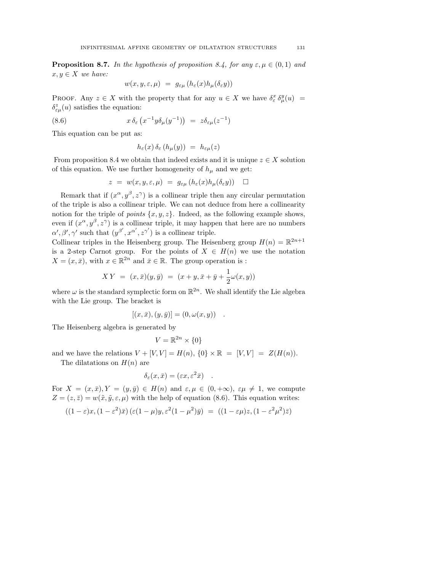**Proposition 8.7.** In the hypothesis of proposition 8.4, for any  $\varepsilon, \mu \in (0, 1)$  and  $x, y \in X$  we have:

$$
w(x, y, \varepsilon, \mu) = g_{\varepsilon\mu} (h_{\varepsilon}(x) h_{\mu}(\delta_{\varepsilon} y))
$$

PROOF. Any  $z \in X$  with the property that for any  $u \in X$  we have  $\delta_{\varepsilon}^x \delta_{\mu}^y(u) =$  $\delta^z_{\epsilon\mu}(u)$  satisfies the equation:

(8.6) 
$$
x \delta_{\varepsilon} (x^{-1} y \delta_{\mu} (y^{-1})) = z \delta_{\varepsilon \mu} (z^{-1})
$$

This equation can be put as:

$$
h_{\varepsilon}(x)\,\delta_{\varepsilon}\,(h_{\mu}(y))\ =\ h_{\varepsilon\mu}(z)
$$

From proposition 8.4 we obtain that indeed exists and it is unique  $z \in X$  solution of this equation. We use further homogeneity of  $h_{\mu}$  and we get:

$$
z = w(x, y, \varepsilon, \mu) = g_{\varepsilon\mu} (h_{\varepsilon}(x) h_{\mu}(\delta_{\varepsilon} y)) \quad \Box
$$

Remark that if  $(x^{\alpha}, y^{\beta}, z^{\gamma})$  is a collinear triple then any circular permutation of the triple is also a collinear triple. We can not deduce from here a collinearity notion for the triple of *points*  $\{x, y, z\}$ . Indeed, as the following example shows, even if  $(x^{\alpha}, y^{\beta}, z^{\gamma})$  is a collinear triple, it may happen that here are no numbers  $\alpha', \beta', \gamma'$  such that  $(y^{\beta'}, x^{\alpha'}, z^{\gamma'})$  is a collinear triple.

Collinear triples in the Heisenberg group. The Heisenberg group  $H(n) = \mathbb{R}^{2n+1}$ is a 2-step Carnot group. For the points of  $X \in H(n)$  we use the notation  $X = (x, \bar{x})$ , with  $x \in \mathbb{R}^{2n}$  and  $\bar{x} \in \mathbb{R}$ . The group operation is :

$$
XY = (x, \bar{x})(y, \bar{y}) = (x + y, \bar{x} + \bar{y} + \frac{1}{2}\omega(x, y))
$$

where  $\omega$  is the standard symplectic form on  $\mathbb{R}^{2n}$ . We shall identify the Lie algebra with the Lie group. The bracket is

$$
[(x,\bar{x}),(y,\bar{y})]=(0,\omega(x,y)) .
$$

The Heisenberg algebra is generated by

$$
V = \mathbb{R}^{2n} \times \{0\}
$$

and we have the relations  $V + [V, V] = H(n), \{0\} \times \mathbb{R} = [V, V] = Z(H(n)).$ 

The dilatations on  $H(n)$  are

$$
\delta_{\varepsilon}(x,\bar{x}) = (\varepsilon x, \varepsilon^2 \bar{x}) \quad .
$$

For  $X = (x, \bar{x}), Y = (y, \bar{y}) \in H(n)$  and  $\varepsilon, \mu \in (0, +\infty), \varepsilon\mu \neq 1$ , we compute  $Z = (z, \bar{z}) = w(\tilde{x}, \tilde{y}, \varepsilon, \mu)$  with the help of equation (8.6). This equation writes:

$$
((1-\varepsilon)x,(1-\varepsilon^2)\bar{x})\left(\varepsilon(1-\mu)y,\varepsilon^2(1-\mu^2)\bar{y}\right) = ((1-\varepsilon\mu)z,(1-\varepsilon^2\mu^2)\bar{z})
$$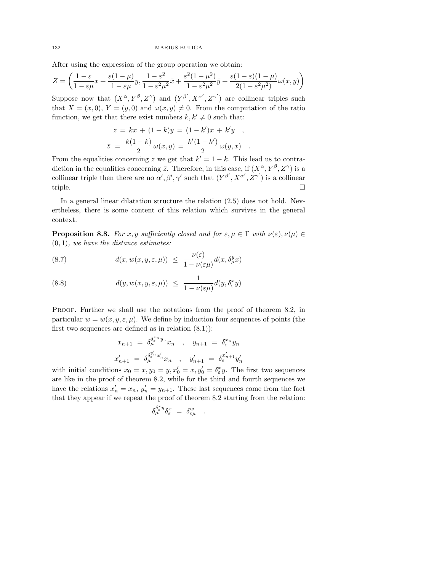After using the expression of the group operation we obtain:

$$
Z = \left(\frac{1-\varepsilon}{1-\varepsilon\mu}x + \frac{\varepsilon(1-\mu)}{1-\varepsilon\mu}y, \frac{1-\varepsilon^2}{1-\varepsilon^2\mu^2}\bar{x} + \frac{\varepsilon^2(1-\mu^2)}{1-\varepsilon^2\mu^2}\bar{y} + \frac{\varepsilon(1-\varepsilon)(1-\mu)}{2(1-\varepsilon^2\mu^2)}\omega(x,y)\right)
$$

Suppose now that  $(X^{\alpha}, Y^{\beta}, Z^{\gamma})$  and  $(Y^{\beta'}, X^{\alpha'}, Z^{\gamma'})$  are collinear triples such that  $X = (x, 0), Y = (y, 0)$  and  $\omega(x, y) \neq 0$ . From the computation of the ratio function, we get that there exist numbers  $k, k' \neq 0$  such that:

$$
z = kx + (1 - k)y = (1 - k')x + k'y ,
$$
  

$$
\bar{z} = \frac{k(1 - k)}{2} \omega(x, y) = \frac{k'(1 - k')}{2} \omega(y, x) .
$$

From the equalities concerning z we get that  $k' = 1 - k$ . This lead us to contradiction in the equalities concerning  $\bar{z}$ . Therefore, in this case, if  $(X^{\alpha}, Y^{\beta}, Z^{\gamma})$  is a collinear triple then there are no  $\alpha', \beta', \gamma'$  such that  $(Y^{\beta'}, X^{\alpha'}, Z^{\gamma'})$  is a collinear triple.  $\Box$ 

In a general linear dilatation structure the relation (2.5) does not hold. Nevertheless, there is some content of this relation which survives in the general context.

**Proposition 8.8.** For x, y sufficiently closed and for  $\varepsilon, \mu \in \Gamma$  with  $\nu(\varepsilon), \nu(\mu) \in$  $(0, 1)$ , we have the distance estimates:

(8.7) 
$$
d(x, w(x, y, \varepsilon, \mu)) \leq \frac{\nu(\varepsilon)}{1 - \nu(\varepsilon \mu)} d(x, \delta_{\mu}^{y} x)
$$

(8.8) 
$$
d(y, w(x, y, \varepsilon, \mu)) \leq \frac{1}{1 - \nu(\varepsilon \mu)} d(y, \delta_{\varepsilon}^x y)
$$

PROOF. Further we shall use the notations from the proof of theorem 8.2, in particular  $w = w(x, y, \varepsilon, \mu)$ . We define by induction four sequences of points (the first two sequences are defined as in relation  $(8.1)$ :

$$
x_{n+1} = \delta_{\mu}^{\delta_{\varepsilon}^{x_n} y_n} x_n , \quad y_{n+1} = \delta_{\varepsilon}^{x_n} y_n
$$
  

$$
x'_{n+1} = \delta_{\mu}^{\delta_{\varepsilon}^{y'_n} x'_n} x_n , \quad y'_{n+1} = \delta_{\varepsilon}^{x'_{n+1}} y'_n
$$

with initial conditions  $x_0 = x, y_0 = y, x'_0 = x, y'_0 = \delta^x_{\varepsilon} y$ . The first two sequences are like in the proof of theorem 8.2, while for the third and fourth sequences we have the relations  $x'_n = x_n$ ,  $y'_n = y_{n+1}$ . These last sequences come from the fact that they appear if we repeat the proof of theorem 8.2 starting from the relation:

$$
\delta_\mu^{\delta_\varepsilon^x y} \delta_\varepsilon^x \ = \ \delta_{\varepsilon \mu}^w \quad .
$$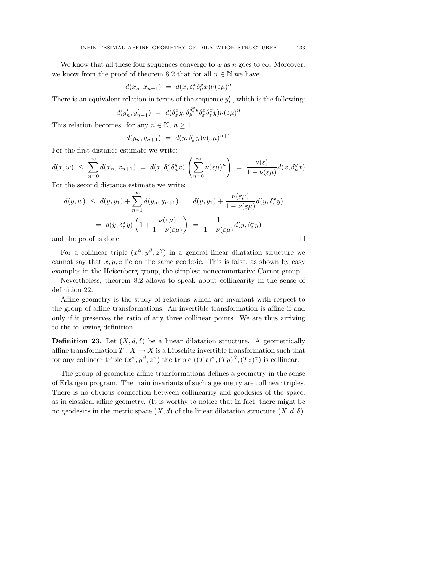We know that all these four sequences converge to w as n goes to  $\infty$ . Moreover, we know from the proof of theorem 8.2 that for all  $n \in \mathbb{N}$  we have

$$
d(x_n, x_{n+1}) = d(x, \delta^x_{\varepsilon} \delta^y_{\mu} x) \nu(\varepsilon \mu)^n
$$

There is an equivalent relation in terms of the sequence  $y'_n$ , which is the following:

$$
d(y_n',y_{n+1}')\ =\ d(\delta_{\varepsilon}^xy,\delta_{\mu}^{\delta_{\varepsilon}^xy}\delta_{\varepsilon}^x\delta_{\varepsilon}^xy)\nu({\varepsilon} \mu)^n
$$

This relation becomes: for any  $n \in \mathbb{N}, n \geq 1$ 

$$
d(y_n, y_{n+1}) = d(y, \delta_{\varepsilon}^x y) \nu(\varepsilon \mu)^{n+1}
$$

For the first distance estimate we write:

$$
d(x, w) \leq \sum_{n=0}^{\infty} d(x_n, x_{n+1}) = d(x, \delta_{\varepsilon}^x \delta_{\mu}^y x) \left( \sum_{n=0}^{\infty} \nu(\varepsilon \mu)^n \right) = \frac{\nu(\varepsilon)}{1 - \nu(\varepsilon \mu)} d(x, \delta_{\mu}^y x)
$$

For the second distance estimate we write:

$$
d(y, w) \leq d(y, y_1) + \sum_{n=1}^{\infty} d(y_n, y_{n+1}) = d(y, y_1) + \frac{\nu(\varepsilon \mu)}{1 - \nu(\varepsilon \mu)} d(y, \delta_{\varepsilon}^x y) =
$$
  
=  $d(y, \delta_{\varepsilon}^x y) \left( 1 + \frac{\nu(\varepsilon \mu)}{1 - \nu(\varepsilon \mu)} \right) = \frac{1}{1 - \nu(\varepsilon \mu)} d(y, \delta_{\varepsilon}^x y)$   
and the proof is done.

For a collinear triple  $(x^{\alpha}, y^{\beta}, z^{\gamma})$  in a general linear dilatation structure we cannot say that  $x, y, z$  lie on the same geodesic. This is false, as shown by easy examples in the Heisenberg group, the simplest noncommutative Carnot group.

Nevertheless, theorem 8.2 allows to speak about collinearity in the sense of definition 22.

Affine geometry is the study of relations which are invariant with respect to the group of affine transformations. An invertible transformation is affine if and only if it preserves the ratio of any three collinear points. We are thus arriving to the following definition.

**Definition 23.** Let  $(X, d, \delta)$  be a linear dilatation structure. A geometrically affine transformation  $T : X \to X$  is a Lipschitz invertible transformation such that for any collinear triple  $(x^{\alpha}, y^{\beta}, z^{\gamma})$  the triple  $((Tx)^{\alpha}, (Ty)^{\beta}, (Tz)^{\gamma})$  is collinear.

The group of geometric affine transformations defines a geometry in the sense of Erlangen program. The main invariants of such a geometry are collinear triples. There is no obvious connection between collinearity and geodesics of the space, as in classical affine geometry. (It is worthy to notice that in fact, there might be no geodesics in the metric space  $(X, d)$  of the linear dilatation structure  $(X, d, \delta)$ .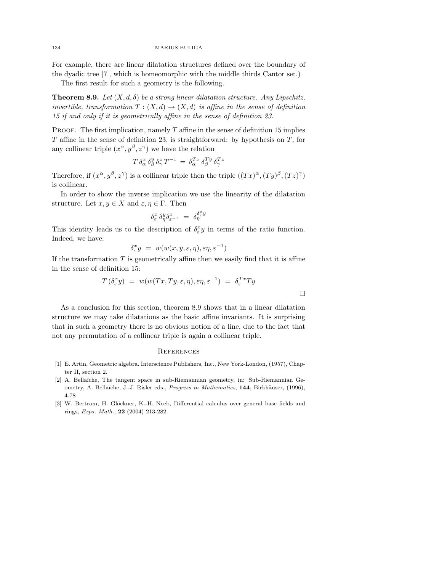For example, there are linear dilatation structures defined over the boundary of the dyadic tree [7], which is homeomorphic with the middle thirds Cantor set.)

The first result for such a geometry is the following.

**Theorem 8.9.** Let  $(X, d, \delta)$  be a strong linear dilatation structure. Any Lipschitz, invertible, transformation  $T : (X, d) \to (X, d)$  is affine in the sense of definition 15 if and only if it is geometrically affine in the sense of definition 23.

PROOF. The first implication, namely  $T$  affine in the sense of definition 15 implies  $T$  affine in the sense of definition 23, is straightforward: by hypothesis on  $T$ , for any collinear triple  $(x^{\alpha}, y^{\beta}, z^{\gamma})$  we have the relation

$$
T \,\delta^x_\alpha \,\delta^y_\beta \,\delta^z_\gamma \,T^{-1} \,=\, \delta^{Tx}_\alpha \,\delta^{Ty}_\beta \,\delta^{Tz}_\gamma
$$

Therefore, if  $(x^{\alpha}, y^{\beta}, z^{\gamma})$  is a collinear triple then the triple  $((Tx)^{\alpha}, (Ty)^{\beta}, (Tz)^{\gamma})$ is collinear.

In order to show the inverse implication we use the linearity of the dilatation structure. Let  $x, y \in X$  and  $\varepsilon, \eta \in \Gamma$ . Then

$$
\delta^x_\varepsilon\,\delta^y_\eta\delta^x_{\varepsilon^{-1}}\ =\ \delta^{\delta^x_\varepsilon y}_\eta
$$

This identity leads us to the description of  $\delta_{\varepsilon}^x y$  in terms of the ratio function. Indeed, we have:

$$
\delta^x_\varepsilon y = w(w(x, y, \varepsilon, \eta), \varepsilon \eta, \varepsilon^{-1})
$$

If the transformation  $T$  is geometrically affine then we easily find that it is affine in the sense of definition 15:

$$
T(\delta_{\varepsilon}^x y) = w(w(Tx,Ty,\varepsilon,\eta), \varepsilon \eta, \varepsilon^{-1}) = \delta_{\varepsilon}^{Tx} Ty
$$

 $\Box$ 

As a conclusion for this section, theorem 8.9 shows that in a linear dilatation structure we may take dilatations as the basic affine invariants. It is surprising that in such a geometry there is no obvious notion of a line, due to the fact that not any permutation of a collinear triple is again a collinear triple.

#### **REFERENCES**

- [1] E. Artin, Geometric algebra. Interscience Publishers, Inc., New York-London, (1957), Chapter II, section 2.
- [2] A. Bellaïche, The tangent space in sub-Riemannian geometry, in: Sub-Riemannian Geometry, A. Bellaïche, J.-J. Risler eds., Progress in Mathematics, 144, Birkhäuser, (1996), 4-78
- [3] W. Bertram, H. Glöckner, K.-H. Neeb, Differential calculus over general base fields and rings, Expo. Math., 22 (2004) 213-282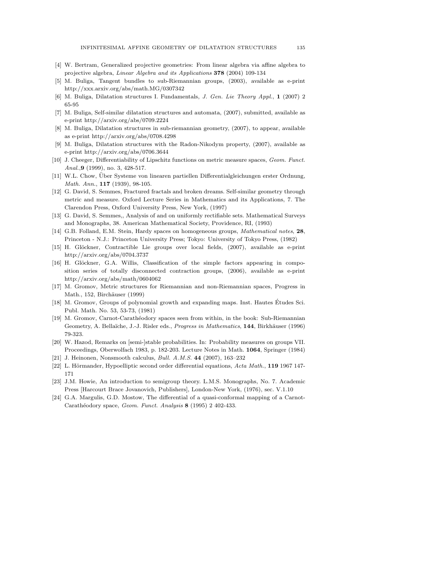- [4] W. Bertram, Generalized projective geometries: From linear algebra via affine algebra to projective algebra, Linear Algebra and its Applications 378 (2004) 109-134
- [5] M. Buliga, Tangent bundles to sub-Riemannian groups, (2003), available as e-print http://xxx.arxiv.org/abs/math.MG/0307342
- [6] M. Buliga, Dilatation structures I. Fundamentals, J. Gen. Lie Theory Appl., 1 (2007) 2 65-95
- [7] M. Buliga, Self-similar dilatation structures and automata, (2007), submitted, available as e-print http://arxiv.org/abs/0709.2224
- [8] M. Buliga, Dilatation structures in sub-riemannian geometry, (2007), to appear, available as e-print http://arxiv.org/abs/0708.4298
- [9] M. Buliga, Dilatation structures with the Radon-Nikodym property, (2007), available as e-print http://arxiv.org/abs/0706.3644
- [10] J. Cheeger, Differentiability of Lipschitz functions on metric measure spaces, Geom. Funct. Anal., 9 (1999), no. 3, 428-517.
- [11] W.L. Chow, Über Systeme von linearen partiellen Differentialgleichungen erster Ordnung, Math. Ann., 117 (1939), 98-105.
- [12] G. David, S. Semmes, Fractured fractals and broken dreams. Self-similar geometry through metric and measure. Oxford Lecture Series in Mathematics and its Applications, 7. The Clarendon Press, Oxford University Press, New York, (1997)
- [13] G. David, S. Semmes,, Analysis of and on uniformly rectifiable sets. Mathematical Surveys and Monographs, 38. American Mathematical Society, Providence, RI, (1993)
- [14] G.B. Folland, E.M. Stein, Hardy spaces on homogeneous groups, Mathematical notes, 28, Princeton - N.J.: Princeton University Press; Tokyo: University of Tokyo Press, (1982)
- [15] H. Glöckner, Contractible Lie groups over local fields, (2007), available as e-print http://arxiv.org/abs/0704.3737
- [16] H. Glöckner, G.A. Willis, Classification of the simple factors appearing in composition series of totally disconnected contraction groups, (2006), available as e-print http://arxiv.org/abs/math/0604062
- [17] M. Gromov, Metric structures for Riemannian and non-Riemannian spaces, Progress in Math., 152, Birchäuser (1999)
- [18] M. Gromov, Groups of polynomial growth and expanding maps. Inst. Hautes Etudes Sci. ´ Publ. Math. No. 53, 53-73, (1981)
- [19] M. Gromov, Carnot-Carathéodory spaces seen from within, in the book: Sub-Riemannian Geometry, A. Bellaïche, J.-J. Risler eds., Progress in Mathematics, 144, Birkhäuser (1996) 79-323.
- [20] W. Hazod, Remarks on [semi-]stable probabilities. In: Probability measures on groups VII. Proceedings, Oberwolfach 1983, p. 182-203. Lecture Notes in Math. 1064, Springer (1984)
- [21] J. Heinonen, Nonsmooth calculus, Bull. A.M.S. 44 (2007), 163–232
- [22] L. Hörmander, Hypoelliptic second order differential equations, Acta Math., 119 1967 147-171
- [23] J.M. Howie, An introduction to semigroup theory. L.M.S. Monographs, No. 7. Academic Press [Harcourt Brace Jovanovich, Publishers], London-New York, (1976), sec. V.1.10
- [24] G.A. Margulis, G.D. Mostow, The differential of a quasi-conformal mapping of a Carnot-Carathéodory space, Geom. Funct. Analysis 8 (1995) 2 402-433.